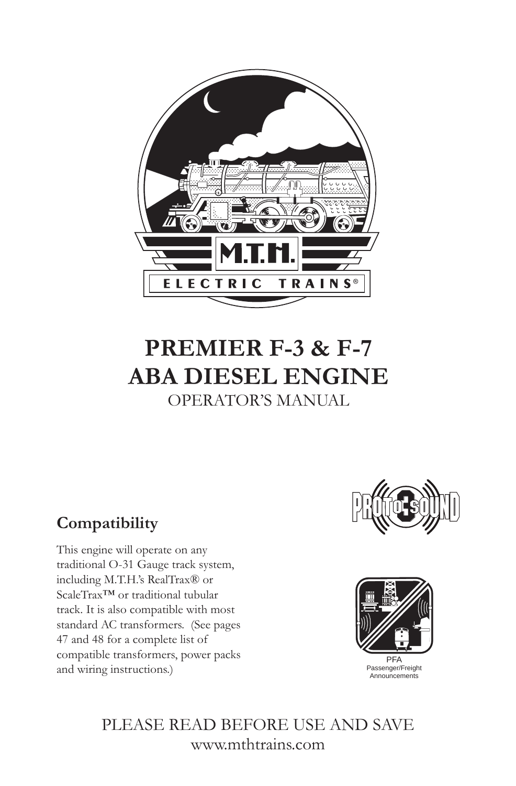

# **PREMIER F-3 & F-7 ABA DIESEL ENGINE** OPERATOR'S MANUAL

# **Compatibility**

This engine will operate on any traditional O-31 Gauge track system, including M.T.H.'s RealTrax® or ScaleTrax™ or traditional tubular track. It is also compatible with most standard AC transformers. (See pages 47 and 48 for a complete list of compatible transformers, power packs and wiring instructions.)





PLEASE READ BEFORE USE AND SAVE www.mthtrains.com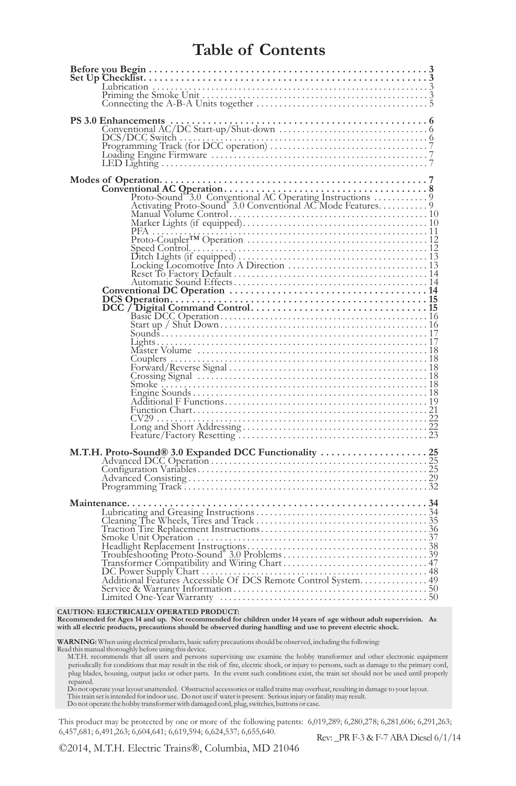### **Table of Contents**

| Lubrication<br>Priming the Smoke Unit<br>Connecting the A-B-A Units together<br>5                                                                                                                                                                                                                                                                                                                                                                                                                                                                                                               |  |
|-------------------------------------------------------------------------------------------------------------------------------------------------------------------------------------------------------------------------------------------------------------------------------------------------------------------------------------------------------------------------------------------------------------------------------------------------------------------------------------------------------------------------------------------------------------------------------------------------|--|
|                                                                                                                                                                                                                                                                                                                                                                                                                                                                                                                                                                                                 |  |
| $\begin{tabular}{l} \textbf{Models of Operation.}\footnotesize \textbf{Conventional AC Operation.}\footnotesize \textcolor{red}{\textcolor{red}{\textbf{C}}\footnotesize\textbf{O}}\footnotesize \textcolor{red}{\textbf{C}}\footnotesize\textbf{O}}\footnotesize \textcolor{red}{\textbf{C}}\footnotesize\textbf{O} \footnotesize\textbf{O}}\footnotesize \textcolor{red}{\textbf{C}}\footnotesize\textbf{O} \footnotesize\textbf{O}}\footnotesize \textcolor{red}{\textbf{C}}\footnotesize\textbf{O} \footnotesize\textbf{O}}\footnotesize \textcolor{red}{\textbf{C}}\footnotesize\textbf{A$ |  |
| Since University and Wiring Chatter and Schedulght Replacement Instructions.<br>Transformer Compatibility and Wiring Chart<br>Transformer Compatibility and Wiring Chart<br>DC Pover Supply Chart<br>Additional Features Accessible Of                                                                                                                                                                                                                                                                                                                                                          |  |
| CAUTION: ELECTRICALLY OPERATED PRODUCT:<br>Recommended for Ages 14 and up. Not recommended for children under 14 years of age without adult supervision. As<br>with all electric products, precautions should be observed during handling and use to prevent electric shock.                                                                                                                                                                                                                                                                                                                    |  |

**WARNING:** When using electrical products, basic safety precautions should be observed, including the following:

Read this manual thoroughly before using this device. M.T.H. recommends that all users and persons supervising use examine the hobby transformer and other electronic equipment periodically for conditions that may result in the risk of fire, electric shock, or injury to persons, such as damage to the primary cord, plug blades, housing, output jacks or other parts. In the event such conditions exist, the train set should not be used until properly repaired.

Do not operate your layout unattended. Obstructed accessories or stalled trains may overheat, resulting in damage to your layout. This train set is intended for indoor use. Do not use if water is present. Serious injury or fatality may result. Do not operate the hobby transformer with damaged cord, plug, switches, buttons or case.

This product may be protected by one or more of the following patents: 6,019,289; 6,280,278; 6,281,606; 6,291,263; 6,457,681; 6,491,263; 6,604,641; 6,619,594; 6,624,537; 6,655,640. Rev: \_PR F-3 & F-7 ABA Diesel 6/1/14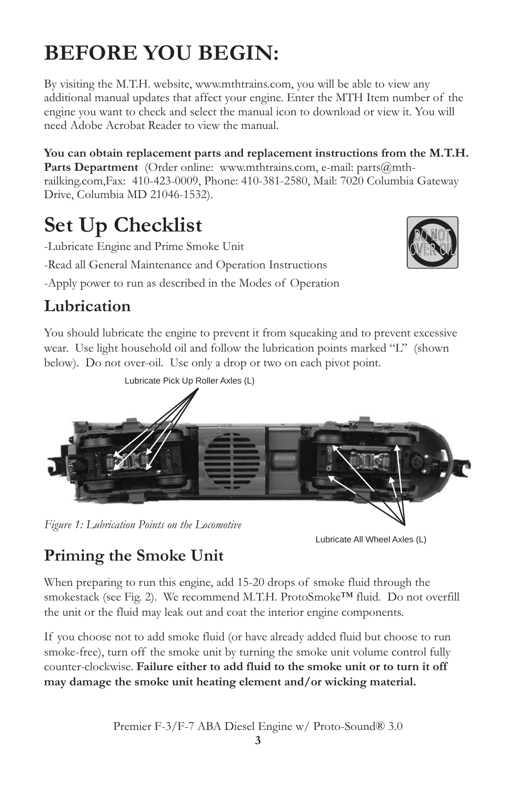# **BEFORE YOU BEGIN:**

By visiting the M.T.H. website, www.mthtrains.com, you will be able to view any additional manual updates that affect your engine. Enter the MTH Item number of the engine you want to check and select the manual icon to download or view it. You will need Adobe Acrobat Reader to view the manual.

(Order online: www.mthtrains.com, e-mail: parts@mth-**Parts Department**  railking.com,Fax: 410-423-0009, Phone: 410-381-2580, Mail: 7020 Columbia Gateway Drive, Columbia MD 21046-1532). **You can obtain replacement parts and replacement instructions from the M.T.H.** 

# **Set Up Checklist**

-Lubricate Engine and Prime Smoke Unit

-Read all General Maintenance and Operation Instructions

-Apply power to run as described in the Modes of Operation

# **Lubrication**

You should lubricate the engine to prevent it from squeaking and to prevent excessive wear. Use light household oil and follow the lubrication points marked "L" (shown below). Do not over-oil. Use only a drop or two on each pivot point.



*Figure 1: Lubrication Points on the Locomotive*

Lubricate All Wheel Axles (L)

DO NOT OVER OIL

# **Priming the Smoke Unit**

When preparing to run this engine, add 15-20 drops of smoke fluid through the smokestack (see Fig. 2). We recommend M.T.H. ProtoSmoke™ fluid. Do not overfill the unit or the fluid may leak out and coat the interior engine components.

If you choose not to add smoke fluid (or have already added fluid but choose to run smoke-free), turn off the smoke unit by turning the smoke unit volume control fully counter-clockwise. **Failure either to add fluid to the smoke unit or to turn it off may damage the smoke unit heating element and/or wicking material.**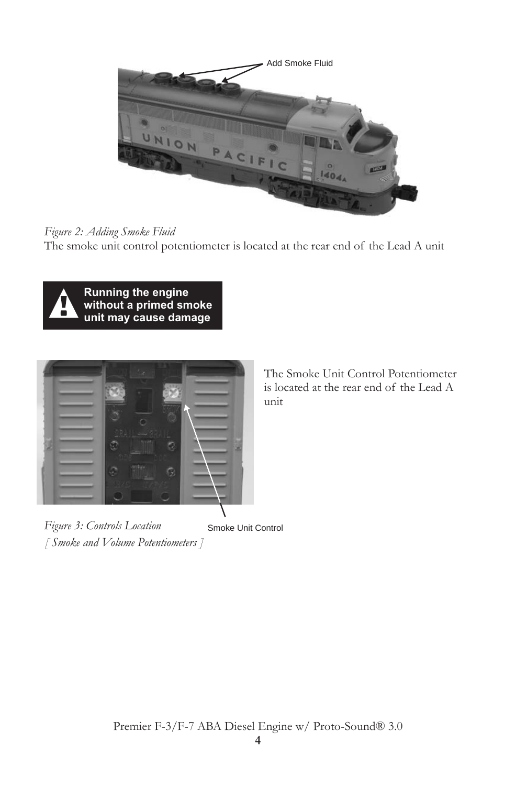

#### *Figure 2: Adding Smoke Fluid*

The smoke unit control potentiometer is located at the rear end of the Lead A unit



**Running the engine without a primed smoke unit may cause damage**



Smoke Unit Control  *Figure 3: Controls Location [ Smoke and Volume Potentiometers ]* 

The Smoke Unit Control Potentiometer is located at the rear end of the Lead A unit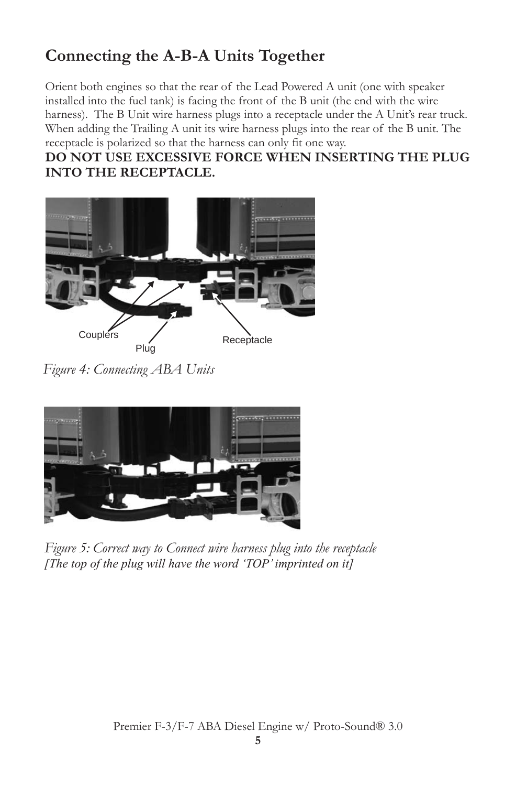# **Connecting the A-B-A Units Together**

Orient both engines so that the rear of the Lead Powered A unit (one with speaker installed into the fuel tank) is facing the front of the B unit (the end with the wire harness). The B Unit wire harness plugs into a receptacle under the A Unit's rear truck. When adding the Trailing A unit its wire harness plugs into the rear of the B unit. The receptacle is polarized so that the harness can only fit one way.

### **DO NOT USE EXCESSIVE FORCE WHEN INSERTING THE PLUG INTO THE RECEPTACLE.**



 *Figure 4: Connecting ABA Units*



*Figure 5: Correct way to Connect wire harness plug into the receptacle [The top of the plug will have the word 'TOP' imprinted on it]*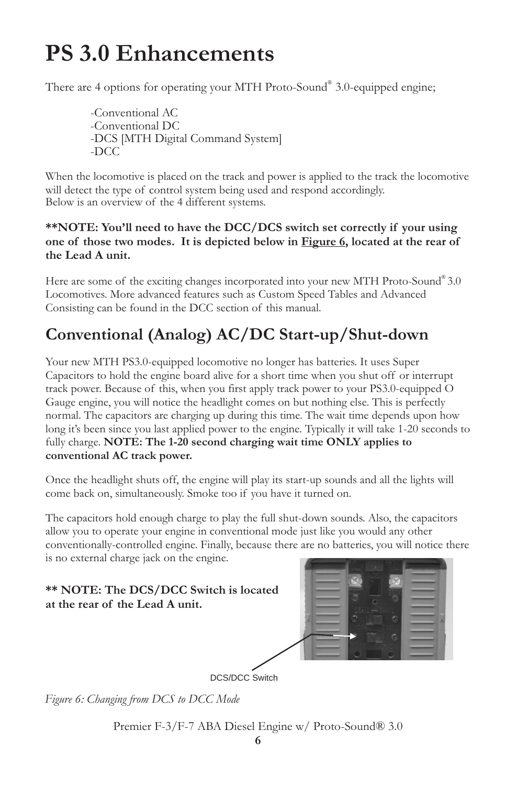# **PS 3.0 Enhancements**

There are 4 options for operating your MTH Proto-Sound® 3.0-equipped engine;

-Conventional AC -Conventional DC -DCS [MTH Digital Command System] -DCC

When the locomotive is placed on the track and power is applied to the track the locomotive will detect the type of control system being used and respond accordingly. Below is an overview of the 4 different systems.

#### **\*\*NOTE: You'll need to have the DCC/DCS switch set correctly if your using one of those two modes. It is depicted below in Figure 6, located at the rear of the Lead A unit.**

Here are some of the exciting changes incorporated into your new MTH Proto-Sound® 3.0 Locomotives. More advanced features such as Custom Speed Tables and Advanced Consisting can be found in the DCC section of this manual.

# **Conventional (Analog) AC/DC Start-up/Shut-down**

Your new MTH PS3.0-equipped locomotive no longer has batteries. It uses Super Capacitors to hold the engine board alive for a short time when you shut off or interrupt track power. Because of this, when you first apply track power to your PS3.0-equipped O Gauge engine, you will notice the headlight comes on but nothing else. This is perfectly normal. The capacitors are charging up during this time. The wait time depends upon how long it's been since you last applied power to the engine. Typically it will take 1-20 seconds to fully charge. **NOTE: The 1-20 second charging wait time ONLY applies to conventional AC track power.**

Once the headlight shuts off, the engine will play its start-up sounds and all the lights will come back on, simultaneously. Smoke too if you have it turned on.

The capacitors hold enough charge to play the full shut-down sounds. Also, the capacitors allow you to operate your engine in conventional mode just like you would any other conventionally-controlled engine. Finally, because there are no batteries, you will notice there is no external charge jack on the engine.

#### **\*\* NOTE: The DCS/DCC Switch is located at the rear of the Lead A unit.**



DCS/DCC Switch

*Figure 6: Changing from DCS to DCC Mode*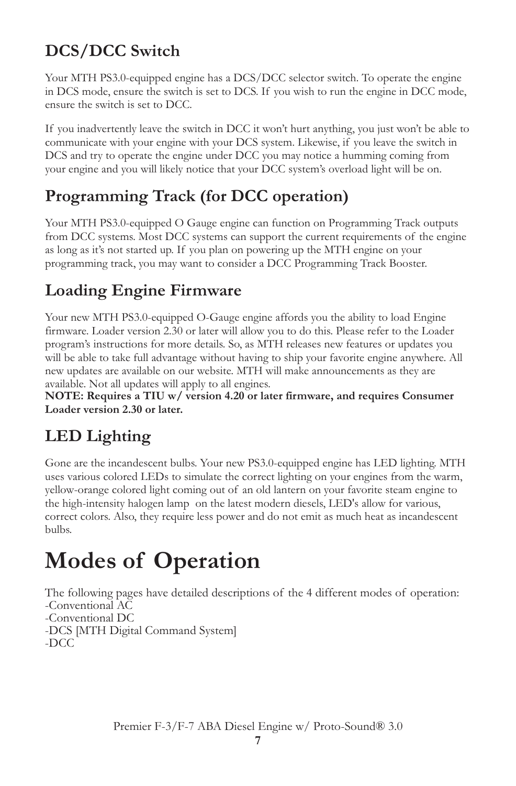# **DCS/DCC Switch**

Your MTH PS3.0-equipped engine has a DCS/DCC selector switch. To operate the engine in DCS mode, ensure the switch is set to DCS. If you wish to run the engine in DCC mode, ensure the switch is set to DCC.

If you inadvertently leave the switch in DCC it won't hurt anything, you just won't be able to communicate with your engine with your DCS system. Likewise, if you leave the switch in DCS and try to operate the engine under DCC you may notice a humming coming from your engine and you will likely notice that your DCC system's overload light will be on.

# **Programming Track (for DCC operation)**

Your MTH PS3.0-equipped O Gauge engine can function on Programming Track outputs from DCC systems. Most DCC systems can support the current requirements of the engine as long as it's not started up. If you plan on powering up the MTH engine on your programming track, you may want to consider a DCC Programming Track Booster.

# **Loading Engine Firmware**

Your new MTH PS3.0-equipped O-Gauge engine affords you the ability to load Engine firmware. Loader version 2.30 or later will allow you to do this. Please refer to the Loader program's instructions for more details. So, as MTH releases new features or updates you will be able to take full advantage without having to ship your favorite engine anywhere. All new updates are available on our website. MTH will make announcements as they are available. Not all updates will apply to all engines.

**NOTE: Requires a TIU w/ version 4.20 or later firmware, and requires Consumer Loader version 2.30 or later.**

# **LED Lighting**

Gone are the incandescent bulbs. Your new PS3.0-equipped engine has LED lighting. MTH uses various colored LEDs to simulate the correct lighting on your engines from the warm, yellow-orange colored light coming out of an old lantern on your favorite steam engine to the high-intensity halogen lamp on the latest modern diesels, LED's allow for various, correct colors. Also, they require less power and do not emit as much heat as incandescent bulbs.

# **Modes of Operation**

The following pages have detailed descriptions of the 4 different modes of operation: -Conventional AC -Conventional DC -DCS [MTH Digital Command System] -DCC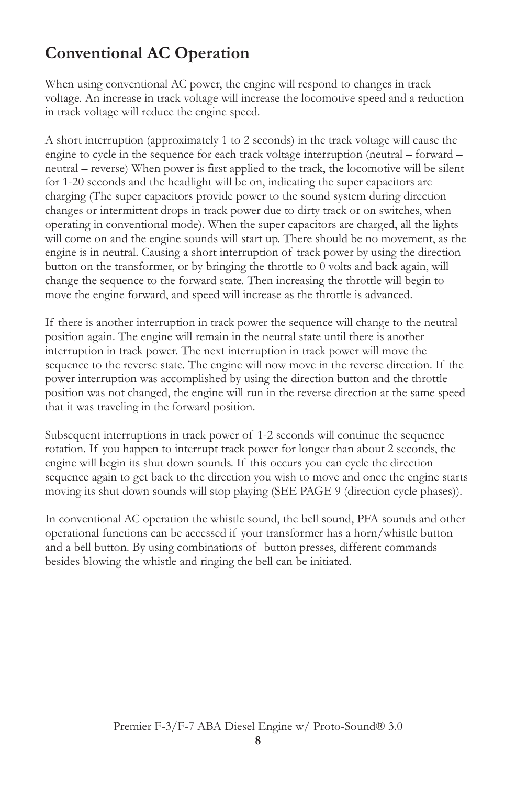# **Conventional AC Operation**

When using conventional AC power, the engine will respond to changes in track voltage. An increase in track voltage will increase the locomotive speed and a reduction in track voltage will reduce the engine speed.

A short interruption (approximately 1 to 2 seconds) in the track voltage will cause the engine to cycle in the sequence for each track voltage interruption (neutral – forward – neutral – reverse) When power is first applied to the track, the locomotive will be silent for 1-20 seconds and the headlight will be on, indicating the super capacitors are charging (The super capacitors provide power to the sound system during direction changes or intermittent drops in track power due to dirty track or on switches, when operating in conventional mode). When the super capacitors are charged, all the lights will come on and the engine sounds will start up. There should be no movement, as the engine is in neutral. Causing a short interruption of track power by using the direction button on the transformer, or by bringing the throttle to 0 volts and back again, will change the sequence to the forward state. Then increasing the throttle will begin to move the engine forward, and speed will increase as the throttle is advanced.

If there is another interruption in track power the sequence will change to the neutral position again. The engine will remain in the neutral state until there is another interruption in track power. The next interruption in track power will move the sequence to the reverse state. The engine will now move in the reverse direction. If the power interruption was accomplished by using the direction button and the throttle position was not changed, the engine will run in the reverse direction at the same speed that it was traveling in the forward position.

Subsequent interruptions in track power of 1-2 seconds will continue the sequence rotation. If you happen to interrupt track power for longer than about 2 seconds, the engine will begin its shut down sounds. If this occurs you can cycle the direction sequence again to get back to the direction you wish to move and once the engine starts moving its shut down sounds will stop playing (SEE PAGE 9 (direction cycle phases)).

In conventional AC operation the whistle sound, the bell sound, PFA sounds and other operational functions can be accessed if your transformer has a horn/whistle button and a bell button. By using combinations of button presses, different commands besides blowing the whistle and ringing the bell can be initiated.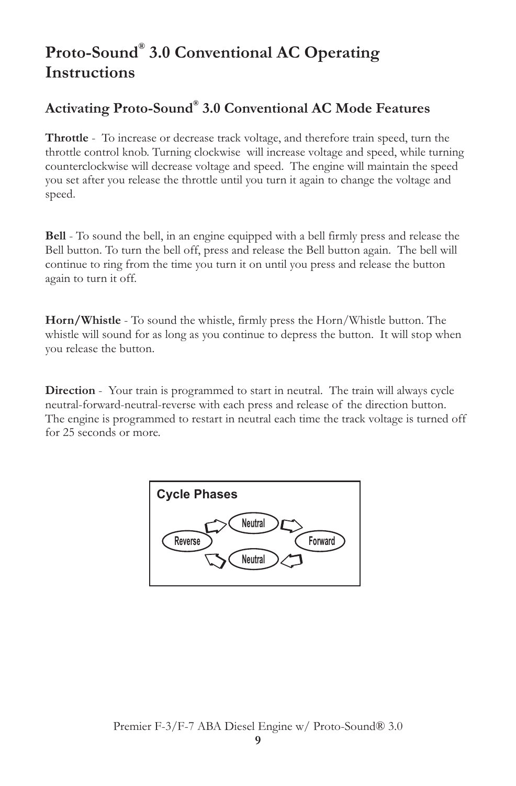# **® Proto-Sound 3.0 Conventional AC Operating Instructions**

### **® Activating Proto-Sound 3.0 Conventional AC Mode Features**

**Throttle** - To increase or decrease track voltage, and therefore train speed, turn the throttle control knob. Turning clockwise will increase voltage and speed, while turning counterclockwise will decrease voltage and speed. The engine will maintain the speed you set after you release the throttle until you turn it again to change the voltage and speed.

**Bell** - To sound the bell, in an engine equipped with a bell firmly press and release the Bell button. To turn the bell off, press and release the Bell button again. The bell will continue to ring from the time you turn it on until you press and release the button again to turn it off.

**Horn/Whistle** - To sound the whistle, firmly press the Horn/Whistle button. The whistle will sound for as long as you continue to depress the button. It will stop when you release the button.

**Direction** - Your train is programmed to start in neutral. The train will always cycle neutral-forward-neutral-reverse with each press and release of the direction button. The engine is programmed to restart in neutral each time the track voltage is turned off for 25 seconds or more.

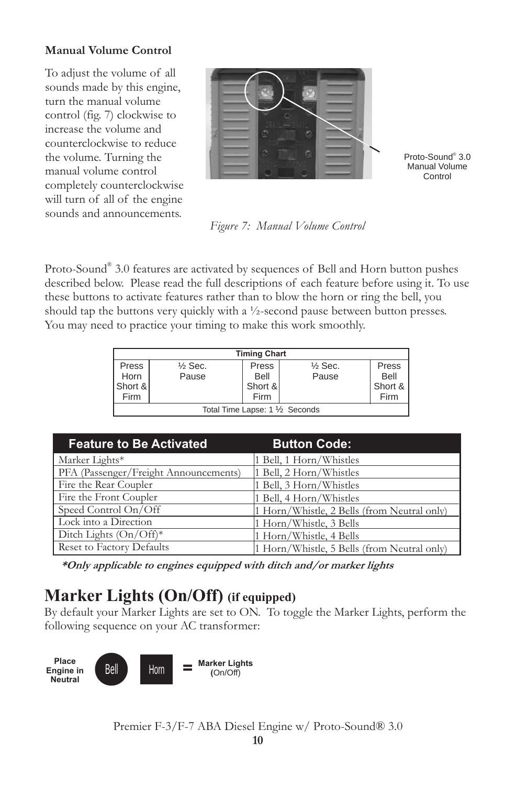#### **Manual Volume Control**

To adjust the volume of all sounds made by this engine, turn the manual volume control (fig. 7) clockwise to increase the volume and counterclockwise to reduce the volume. Turning the manual volume control completely counterclockwise will turn of all of the engine sounds and announcements.



Proto-Sound<sup>®</sup> 3.0 Manual Volume Control

*Figure 7: Manual Volume Control*

Proto-Sound® 3.0 features are activated by sequences of Bell and Horn button pushes described below. Please read the full descriptions of each feature before using it. To use these buttons to activate features rather than to blow the horn or ring the bell, you should tap the buttons very quickly with a ½-second pause between button presses. You may need to practice your timing to make this work smoothly.

|                                 | <b>Timing Chart</b> |         |                    |         |  |  |
|---------------------------------|---------------------|---------|--------------------|---------|--|--|
| Press                           | $\frac{1}{2}$ Sec.  | Press   | $\frac{1}{2}$ Sec. | Press   |  |  |
| Horn                            | Pause               | Bell    | Pause              | Bell    |  |  |
| Short &                         |                     | Short & |                    | Short & |  |  |
| Firm                            | Firm<br>Firm        |         |                    |         |  |  |
| Total Time Lapse: 1 1/2 Seconds |                     |         |                    |         |  |  |

| <b>Feature to Be Activated</b>        | <b>Button Code:</b>                         |
|---------------------------------------|---------------------------------------------|
| Marker Lights*                        | 1 Bell, 1 Horn/Whistles                     |
| PFA (Passenger/Freight Announcements) | 1 Bell, 2 Horn/Whistles                     |
| Fire the Rear Coupler                 | 1 Bell, 3 Horn/Whistles                     |
| Fire the Front Coupler                | 1 Bell, 4 Horn/Whistles                     |
| Speed Control On/Off                  | 1 Horn/Whistle, 2 Bells (from Neutral only) |
| Lock into a Direction                 | 1 Horn/Whistle, 3 Bells                     |
| Ditch Lights $(On/Off)^*$             | 1 Horn/Whistle, 4 Bells                     |
| Reset to Factory Defaults             | 1 Horn/Whistle, 5 Bells (from Neutral only) |

*\*Only applicable to engines equipped with ditch and/or marker lights*

### **Marker Lights (On/Off) (if equipped)**

By default your Marker Lights are set to ON. To toggle the Marker Lights, perform the following sequence on your AC transformer:

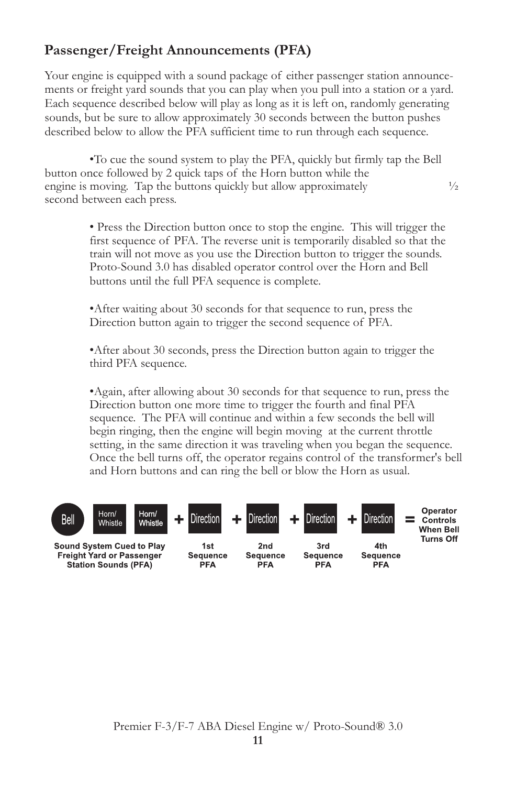### **Passenger/Freight Announcements (PFA)**

Your engine is equipped with a sound package of either passenger station announcements or freight yard sounds that you can play when you pull into a station or a yard. Each sequence described below will play as long as it is left on, randomly generating sounds, but be sure to allow approximately 30 seconds between the button pushes described below to allow the PFA sufficient time to run through each sequence.

•To cue the sound system to play the PFA, quickly but firmly tap the Bell button once followed by 2 quick taps of the Horn button while the engine is moving. Tap the buttons quickly but allow approximately  $\frac{1}{2}$ second between each press.

> • Press the Direction button once to stop the engine. This will trigger the first sequence of PFA. The reverse unit is temporarily disabled so that the train will not move as you use the Direction button to trigger the sounds. Proto-Sound 3.0 has disabled operator control over the Horn and Bell buttons until the full PFA sequence is complete.

•After waiting about 30 seconds for that sequence to run, press the Direction button again to trigger the second sequence of PFA.

•After about 30 seconds, press the Direction button again to trigger the third PFA sequence.

•Again, after allowing about 30 seconds for that sequence to run, press the Direction button one more time to trigger the fourth and final PFA sequence. The PFA will continue and within a few seconds the bell will begin ringing, then the engine will begin moving at the current throttle setting, in the same direction it was traveling when you began the sequence. Once the bell turns off, the operator regains control of the transformer's bell and Horn buttons and can ring the bell or blow the Horn as usual.

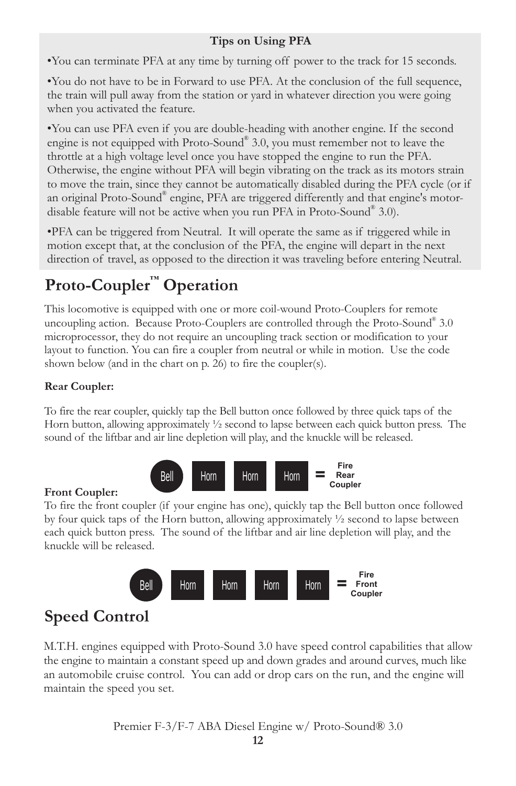### **Tips on Using PFA**

•You can terminate PFA at any time by turning off power to the track for 15 seconds.

•You do not have to be in Forward to use PFA. At the conclusion of the full sequence, the train will pull away from the station or yard in whatever direction you were going when you activated the feature.

•You can use PFA even if you are double-heading with another engine. If the second engine is not equipped with Proto-Sound® 3.0, you must remember not to leave the throttle at a high voltage level once you have stopped the engine to run the PFA. Otherwise, the engine without PFA will begin vibrating on the track as its motors strain to move the train, since they cannot be automatically disabled during the PFA cycle (or if an original Proto-Sound® engine, PFA are triggered differently and that engine's motordisable feature will not be active when you run PFA in Proto-Sound® 3.0).

•PFA can be triggered from Neutral. It will operate the same as if triggered while in motion except that, at the conclusion of the PFA, the engine will depart in the next direction of travel, as opposed to the direction it was traveling before entering Neutral.

# **Proto-Coupler™ Operation**

This locomotive is equipped with one or more coil-wound Proto-Couplers for remote uncoupling action. Because Proto-Couplers are controlled through the Proto-Sound® 3.0 microprocessor, they do not require an uncoupling track section or modification to your layout to function. You can fire a coupler from neutral or while in motion. Use the code shown below (and in the chart on p. 26) to fire the coupler(s).

### **Rear Coupler:**

To fire the rear coupler, quickly tap the Bell button once followed by three quick taps of the Horn button, allowing approximately ½ second to lapse between each quick button press. The sound of the liftbar and air line depletion will play, and the knuckle will be released.



### **Front Coupler:**

To fire the front coupler (if your engine has one), quickly tap the Bell button once followed by four quick taps of the Horn button, allowing approximately  $\frac{1}{2}$  second to lapse between each quick button press. The sound of the liftbar and air line depletion will play, and the knuckle will be released.



# **Speed Control**

M.T.H. engines equipped with Proto-Sound 3.0 have speed control capabilities that allow the engine to maintain a constant speed up and down grades and around curves, much like an automobile cruise control. You can add or drop cars on the run, and the engine will maintain the speed you set.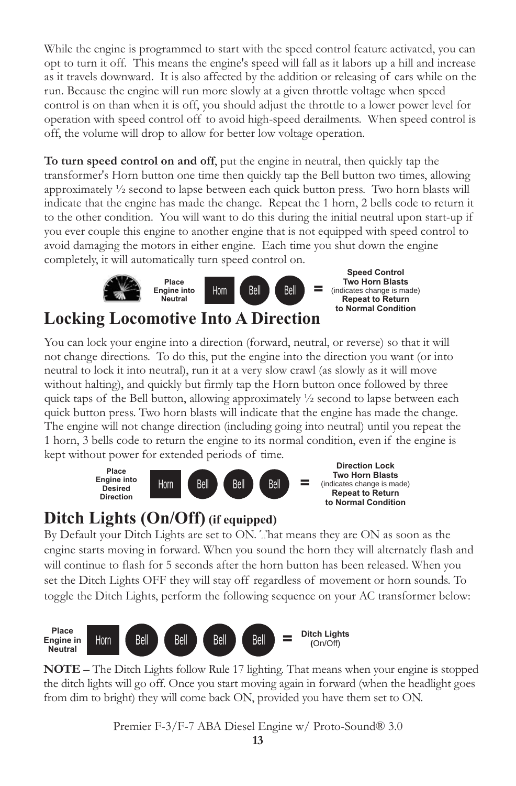While the engine is programmed to start with the speed control feature activated, you can opt to turn it off. This means the engine's speed will fall as it labors up a hill and increase as it travels downward. It is also affected by the addition or releasing of cars while on the run. Because the engine will run more slowly at a given throttle voltage when speed control is on than when it is off, you should adjust the throttle to a lower power level for operation with speed control off to avoid high-speed derailments. When speed control is off, the volume will drop to allow for better low voltage operation.

**To turn speed control on and off**, put the engine in neutral, then quickly tap the transformer's Horn button one time then quickly tap the Bell button two times, allowing approximately ½ second to lapse between each quick button press. Two horn blasts will indicate that the engine has made the change. Repeat the 1 horn, 2 bells code to return it to the other condition. You will want to do this during the initial neutral upon start-up if you ever couple this engine to another engine that is not equipped with speed control to avoid damaging the motors in either engine. Each time you shut down the engine completely, it will automatically turn speed control on.



### **Locking Locomotive Into A Direction**

You can lock your engine into a direction (forward, neutral, or reverse) so that it will not change directions. To do this, put the engine into the direction you want (or into neutral to lock it into neutral), run it at a very slow crawl (as slowly as it will move without halting), and quickly but firmly tap the Horn button once followed by three quick taps of the Bell button, allowing approximately  $\frac{1}{2}$  second to lapse between each quick button press. Two horn blasts will indicate that the engine has made the change. The engine will not change direction (including going into neutral) until you repeat the 1 horn, 3 bells code to return the engine to its normal condition, even if the engine is kept without power for extended periods of time.



### **Ditch Lights (On/Off) (if equipped)**

By Default your Ditch Lights are set to ON. That means they are ON as soon as the engine starts moving in forward. When you sound the horn they will alternately flash and will continue to flash for 5 seconds after the horn button has been released. When you set the Ditch Lights OFF they will stay off regardless of movement or horn sounds. To toggle the Ditch Lights, perform the following sequence on your AC transformer below:



**NOTE** – The Ditch Lights follow Rule 17 lighting. That means when your engine is stopped the ditch lights will go off. Once you start moving again in forward (when the headlight goes from dim to bright) they will come back ON, provided you have them set to ON.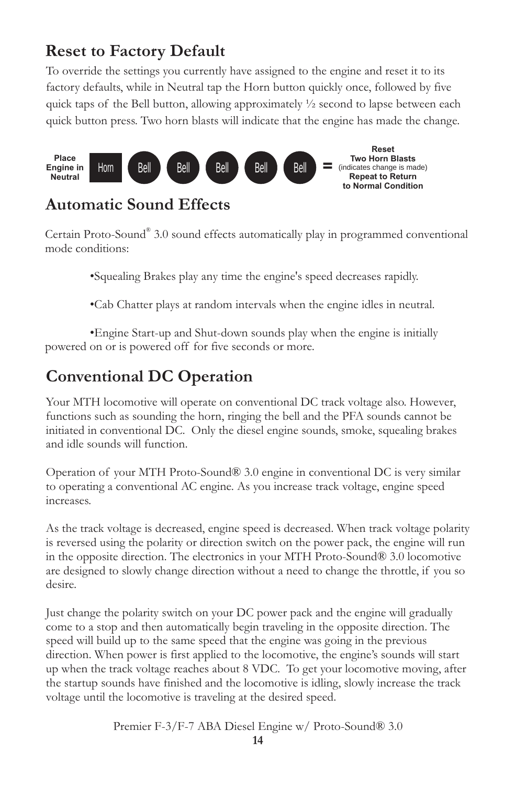# **Reset to Factory Default**

To override the settings you currently have assigned to the engine and reset it to its factory defaults, while in Neutral tap the Horn button quickly once, followed by five quick taps of the Bell button, allowing approximately  $\frac{1}{2}$  second to lapse between each quick button press. Two horn blasts will indicate that the engine has made the change.



### **Automatic Sound Effects**

Certain Proto-Sound® 3.0 sound effects automatically play in programmed conventional mode conditions:

•Squealing Brakes play any time the engine's speed decreases rapidly.

•Cab Chatter plays at random intervals when the engine idles in neutral.

•Engine Start-up and Shut-down sounds play when the engine is initially powered on or is powered off for five seconds or more.

# **Conventional DC Operation**

Your MTH locomotive will operate on conventional DC track voltage also. However, functions such as sounding the horn, ringing the bell and the PFA sounds cannot be initiated in conventional DC. Only the diesel engine sounds, smoke, squealing brakes and idle sounds will function.

Operation of your MTH Proto-Sound® 3.0 engine in conventional DC is very similar to operating a conventional AC engine. As you increase track voltage, engine speed increases.

As the track voltage is decreased, engine speed is decreased. When track voltage polarity is reversed using the polarity or direction switch on the power pack, the engine will run in the opposite direction. The electronics in your MTH Proto-Sound® 3.0 locomotive are designed to slowly change direction without a need to change the throttle, if you so desire.

Just change the polarity switch on your DC power pack and the engine will gradually come to a stop and then automatically begin traveling in the opposite direction. The speed will build up to the same speed that the engine was going in the previous direction. When power is first applied to the locomotive, the engine's sounds will start up when the track voltage reaches about 8 VDC. To get your locomotive moving, after the startup sounds have finished and the locomotive is idling, slowly increase the track voltage until the locomotive is traveling at the desired speed.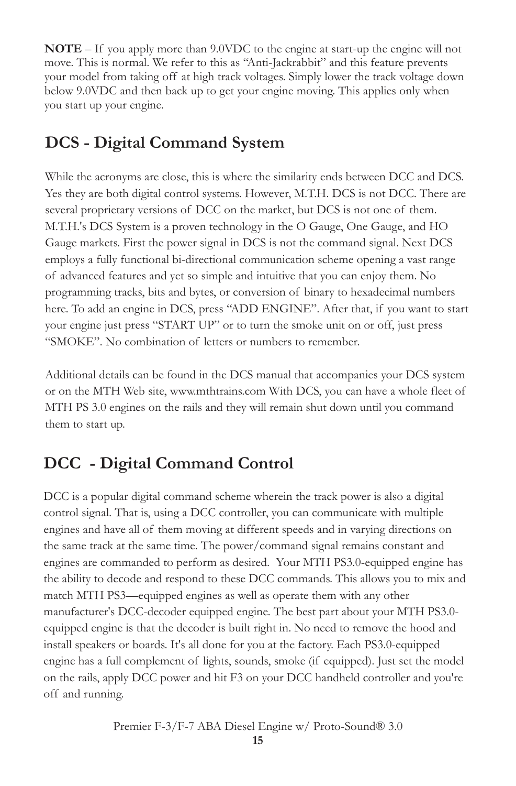**NOTE** – If you apply more than 9.0VDC to the engine at start-up the engine will not move. This is normal. We refer to this as "Anti-Jackrabbit" and this feature prevents your model from taking off at high track voltages. Simply lower the track voltage down below 9.0VDC and then back up to get your engine moving. This applies only when you start up your engine.

## **DCS - Digital Command System**

While the acronyms are close, this is where the similarity ends between DCC and DCS. Yes they are both digital control systems. However, M.T.H. DCS is not DCC. There are several proprietary versions of DCC on the market, but DCS is not one of them. M.T.H.'s DCS System is a proven technology in the O Gauge, One Gauge, and HO Gauge markets. First the power signal in DCS is not the command signal. Next DCS employs a fully functional bi-directional communication scheme opening a vast range of advanced features and yet so simple and intuitive that you can enjoy them. No programming tracks, bits and bytes, or conversion of binary to hexadecimal numbers here. To add an engine in DCS, press "ADD ENGINE". After that, if you want to start your engine just press "START UP" or to turn the smoke unit on or off, just press "SMOKE". No combination of letters or numbers to remember.

Additional details can be found in the DCS manual that accompanies your DCS system or on the MTH Web site, www.mthtrains.com With DCS, you can have a whole fleet of MTH PS 3.0 engines on the rails and they will remain shut down until you command them to start up.

# **DCC - Digital Command Control**

DCC is a popular digital command scheme wherein the track power is also a digital control signal. That is, using a DCC controller, you can communicate with multiple engines and have all of them moving at different speeds and in varying directions on the same track at the same time. The power/command signal remains constant and engines are commanded to perform as desired. Your MTH PS3.0-equipped engine has the ability to decode and respond to these DCC commands. This allows you to mix and match MTH PS3—equipped engines as well as operate them with any other manufacturer's DCC-decoder equipped engine. The best part about your MTH PS3.0 equipped engine is that the decoder is built right in. No need to remove the hood and install speakers or boards. It's all done for you at the factory. Each PS3.0-equipped engine has a full complement of lights, sounds, smoke (if equipped). Just set the model on the rails, apply DCC power and hit F3 on your DCC handheld controller and you're off and running.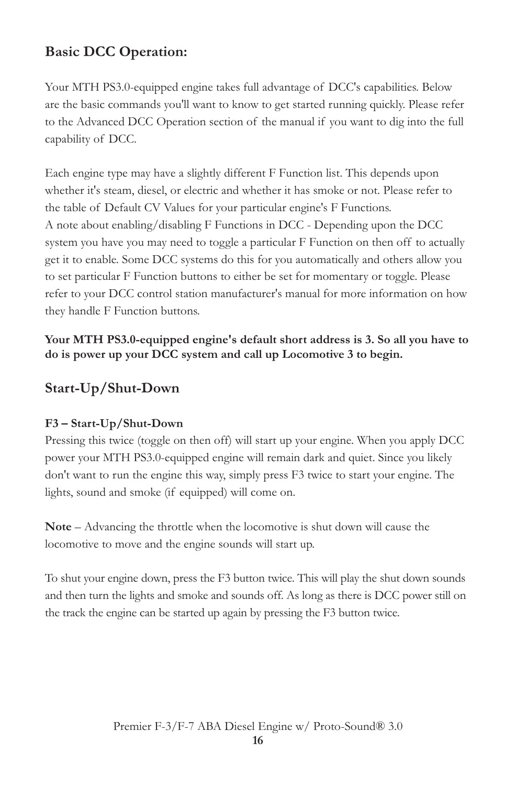### **Basic DCC Operation:**

Your MTH PS3.0-equipped engine takes full advantage of DCC's capabilities. Below are the basic commands you'll want to know to get started running quickly. Please refer to the Advanced DCC Operation section of the manual if you want to dig into the full capability of DCC.

Each engine type may have a slightly different F Function list. This depends upon whether it's steam, diesel, or electric and whether it has smoke or not. Please refer to the table of Default CV Values for your particular engine's F Functions. A note about enabling/disabling F Functions in DCC - Depending upon the DCC system you have you may need to toggle a particular F Function on then off to actually get it to enable. Some DCC systems do this for you automatically and others allow you to set particular F Function buttons to either be set for momentary or toggle. Please refer to your DCC control station manufacturer's manual for more information on how they handle F Function buttons.

**Your MTH PS3.0-equipped engine's default short address is 3. So all you have to do is power up your DCC system and call up Locomotive 3 to begin.**

### **Start-Up/Shut-Down**

### **F3 – Start-Up/Shut-Down**

Pressing this twice (toggle on then off) will start up your engine. When you apply DCC power your MTH PS3.0-equipped engine will remain dark and quiet. Since you likely don't want to run the engine this way, simply press F3 twice to start your engine. The lights, sound and smoke (if equipped) will come on.

**Note** – Advancing the throttle when the locomotive is shut down will cause the locomotive to move and the engine sounds will start up.

To shut your engine down, press the F3 button twice. This will play the shut down sounds and then turn the lights and smoke and sounds off. As long as there is DCC power still on the track the engine can be started up again by pressing the F3 button twice.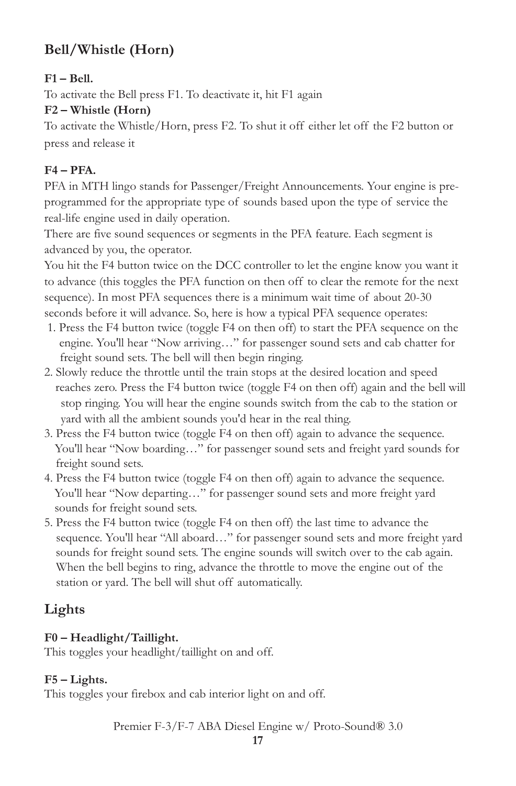### **Bell/Whistle (Horn)**

#### **F1 – Bell.**

To activate the Bell press F1. To deactivate it, hit F1 again

### **F2 – Whistle (Horn)**

To activate the Whistle/Horn, press F2. To shut it off either let off the F2 button or press and release it

### **F4 – PFA.**

PFA in MTH lingo stands for Passenger/Freight Announcements. Your engine is preprogrammed for the appropriate type of sounds based upon the type of service the real-life engine used in daily operation.

There are five sound sequences or segments in the PFA feature. Each segment is advanced by you, the operator.

You hit the F4 button twice on the DCC controller to let the engine know you want it to advance (this toggles the PFA function on then off to clear the remote for the next sequence). In most PFA sequences there is a minimum wait time of about 20-30 seconds before it will advance. So, here is how a typical PFA sequence operates:

- 1. Press the F4 button twice (toggle F4 on then off) to start the PFA sequence on the engine. You'll hear "Now arriving…" for passenger sound sets and cab chatter for freight sound sets. The bell will then begin ringing.
- 2. Slowly reduce the throttle until the train stops at the desired location and speed reaches zero. Press the F4 button twice (toggle F4 on then off) again and the bell will stop ringing. You will hear the engine sounds switch from the cab to the station or yard with all the ambient sounds you'd hear in the real thing.
- 3. Press the F4 button twice (toggle F4 on then off) again to advance the sequence. You'll hear "Now boarding…" for passenger sound sets and freight yard sounds for freight sound sets.
- 4. Press the F4 button twice (toggle F4 on then off) again to advance the sequence. You'll hear "Now departing…" for passenger sound sets and more freight yard sounds for freight sound sets.
- 5. Press the F4 button twice (toggle F4 on then off) the last time to advance the sequence. You'll hear "All aboard…" for passenger sound sets and more freight yard sounds for freight sound sets. The engine sounds will switch over to the cab again. When the bell begins to ring, advance the throttle to move the engine out of the station or yard. The bell will shut off automatically.

### **Lights**

### **F0 – Headlight/Taillight.**

This toggles your headlight/taillight on and off.

### **F5 – Lights.**

This toggles your firebox and cab interior light on and off.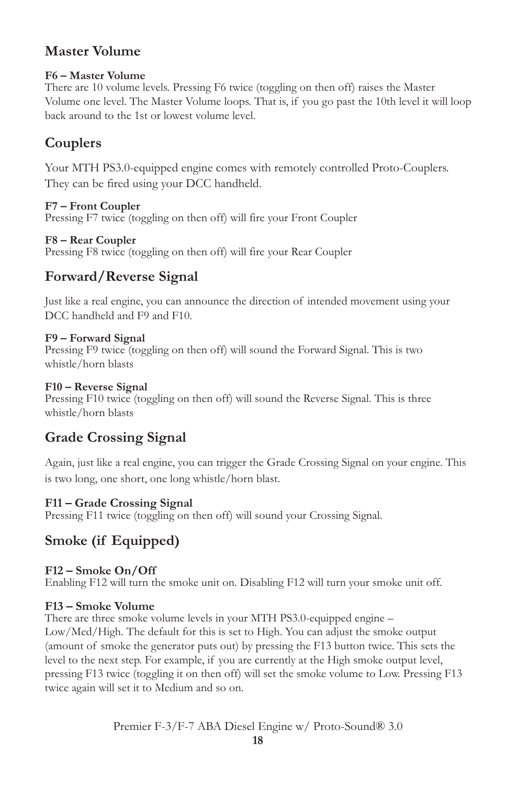### **Master Volume**

#### **F6 – Master Volume**

There are 10 volume levels. Pressing F6 twice (toggling on then off) raises the Master Volume one level. The Master Volume loops. That is, if you go past the 10th level it will loop back around to the 1st or lowest volume level.

### **Couplers**

Your MTH PS3.0-equipped engine comes with remotely controlled Proto-Couplers. They can be fired using your DCC handheld.

#### **F7 – Front Coupler**

Pressing F7 twice (toggling on then off) will fire your Front Coupler

#### **F8 – Rear Coupler**

Pressing F8 twice (toggling on then off) will fire your Rear Coupler

### **Forward/Reverse Signal**

Just like a real engine, you can announce the direction of intended movement using your DCC handheld and F9 and F10.

#### **F9 – Forward Signal**

Pressing F9 twice (toggling on then off) will sound the Forward Signal. This is two whistle/horn blasts

#### **F10 – Reverse Signal**

Pressing F10 twice (toggling on then off) will sound the Reverse Signal. This is three whistle/horn blasts

### **Grade Crossing Signal**

Again, just like a real engine, you can trigger the Grade Crossing Signal on your engine. This is two long, one short, one long whistle/horn blast.

### **F11 – Grade Crossing Signal**

Pressing F11 twice (toggling on then off) will sound your Crossing Signal.

### **Smoke (if Equipped)**

### **F12 – Smoke On/Off**

Enabling F12 will turn the smoke unit on. Disabling F12 will turn your smoke unit off.

### **F13 – Smoke Volume**

There are three smoke volume levels in your MTH PS3.0-equipped engine – Low/Med/High. The default for this is set to High. You can adjust the smoke output (amount of smoke the generator puts out) by pressing the F13 button twice. This sets the level to the next step. For example, if you are currently at the High smoke output level, pressing F13 twice (toggling it on then off) will set the smoke volume to Low. Pressing F13 twice again will set it to Medium and so on.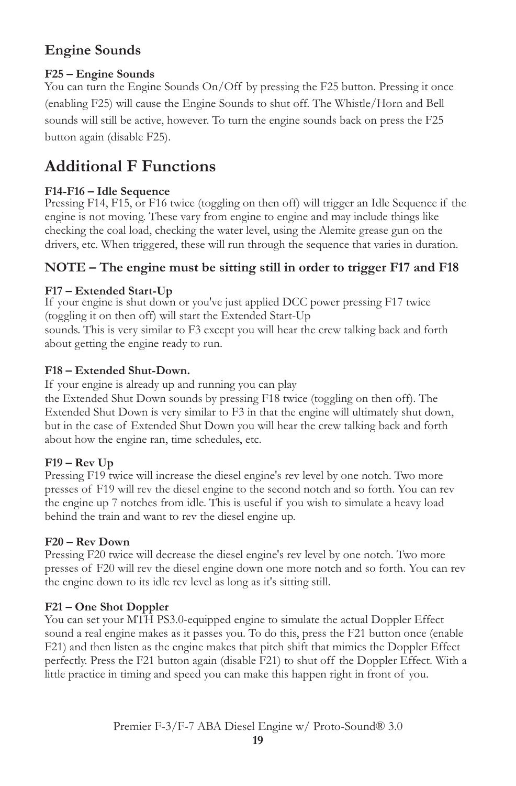### **Engine Sounds**

### **F25 – Engine Sounds**

You can turn the Engine Sounds On/Off by pressing the F25 button. Pressing it once (enabling F25) will cause the Engine Sounds to shut off. The Whistle/Horn and Bell sounds will still be active, however. To turn the engine sounds back on press the F25 button again (disable F25).

### **Additional F Functions**

#### **F14-F16 – Idle Sequence**

Pressing F14, F15, or F16 twice (toggling on then off) will trigger an Idle Sequence if the engine is not moving. These vary from engine to engine and may include things like checking the coal load, checking the water level, using the Alemite grease gun on the drivers, etc. When triggered, these will run through the sequence that varies in duration.

### **NOTE – The engine must be sitting still in order to trigger F17 and F18**

#### **F17 – Extended Start-Up**

If your engine is shut down or you've just applied DCC power pressing F17 twice (toggling it on then off) will start the Extended Start-Up sounds. This is very similar to F3 except you will hear the crew talking back and forth

about getting the engine ready to run.

#### **F18 – Extended Shut-Down.**

If your engine is already up and running you can play

the Extended Shut Down sounds by pressing F18 twice (toggling on then off). The Extended Shut Down is very similar to F3 in that the engine will ultimately shut down, but in the case of Extended Shut Down you will hear the crew talking back and forth about how the engine ran, time schedules, etc.

#### **F19 – Rev Up**

Pressing F19 twice will increase the diesel engine's rev level by one notch. Two more presses of F19 will rev the diesel engine to the second notch and so forth. You can rev the engine up 7 notches from idle. This is useful if you wish to simulate a heavy load behind the train and want to rev the diesel engine up.

#### **F20 – Rev Down**

Pressing F20 twice will decrease the diesel engine's rev level by one notch. Two more presses of F20 will rev the diesel engine down one more notch and so forth. You can rev the engine down to its idle rev level as long as it's sitting still.

### **F21 – One Shot Doppler**

You can set your MTH PS3.0-equipped engine to simulate the actual Doppler Effect sound a real engine makes as it passes you. To do this, press the F21 button once (enable F21) and then listen as the engine makes that pitch shift that mimics the Doppler Effect perfectly. Press the F21 button again (disable F21) to shut off the Doppler Effect. With a little practice in timing and speed you can make this happen right in front of you.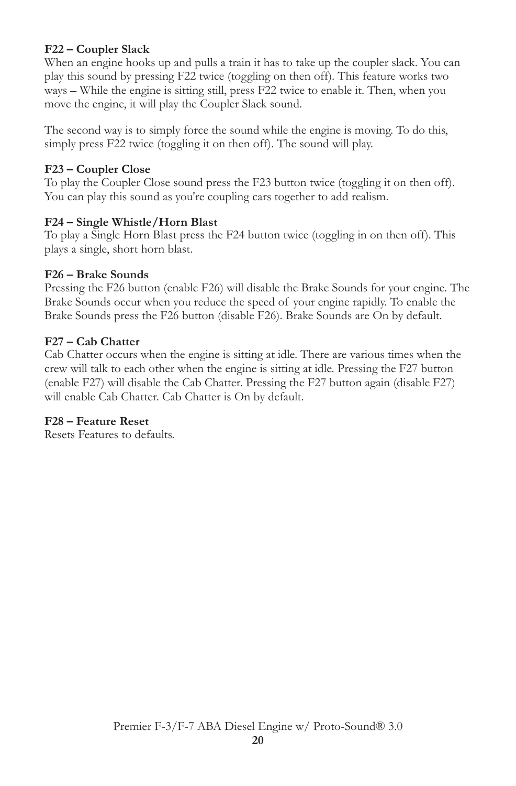#### **F22 – Coupler Slack**

When an engine hooks up and pulls a train it has to take up the coupler slack. You can play this sound by pressing F22 twice (toggling on then off). This feature works two ways – While the engine is sitting still, press F22 twice to enable it. Then, when you move the engine, it will play the Coupler Slack sound.

The second way is to simply force the sound while the engine is moving. To do this, simply press F22 twice (toggling it on then off). The sound will play.

#### **F23 – Coupler Close**

To play the Coupler Close sound press the F23 button twice (toggling it on then off). You can play this sound as you're coupling cars together to add realism.

#### **F24 – Single Whistle/Horn Blast**

To play a Single Horn Blast press the F24 button twice (toggling in on then off). This plays a single, short horn blast.

#### **F26 – Brake Sounds**

Pressing the F26 button (enable F26) will disable the Brake Sounds for your engine. The Brake Sounds occur when you reduce the speed of your engine rapidly. To enable the Brake Sounds press the F26 button (disable F26). Brake Sounds are On by default.

#### **F27 – Cab Chatter**

Cab Chatter occurs when the engine is sitting at idle. There are various times when the crew will talk to each other when the engine is sitting at idle. Pressing the F27 button (enable F27) will disable the Cab Chatter. Pressing the F27 button again (disable F27) will enable Cab Chatter. Cab Chatter is On by default.

#### **F28 – Feature Reset**

Resets Features to defaults.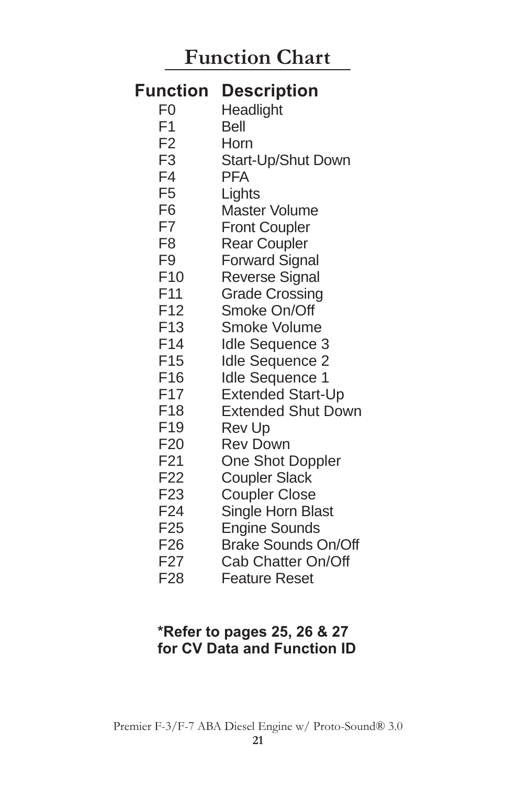# **Function Chart**

#### F0 F1 F2 F3 F4 F5 F6 F7 F8 F9 F10 F11 F12 F13 F14 F15 F16 F17 F18 F19  $F20$ F21 F22 F23 F24 F25 F26 F27 **Headlight** Bell **Horn** Start-Up/Shut Down **PFA Lights** Master Volume Front Coupler Rear Coupler Forward Signal Reverse Signal Grade Crossing Smoke On/Off Smoke Volume Idle Sequence 3 Idle Sequence 2 Idle Sequence 1 Extended Start-Up Extended Shut Down Rev Up Rev Down One Shot Doppler Coupler Slack Coupler Close Single Horn Blast Engine Sounds Brake Sounds On/Off Cab Chatter On/Off **Function Description**

F28 Feature Reset

### **\*Refer to pages 25, 26 & 27 for CV Data and Function ID**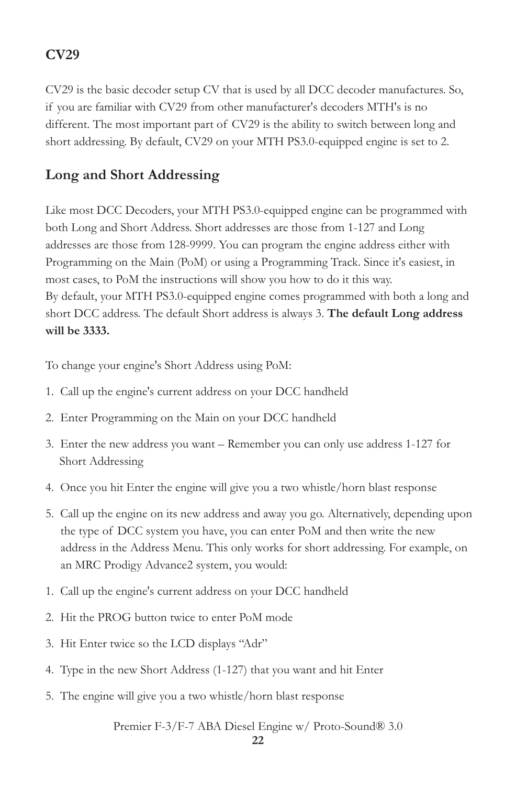### **CV29**

CV29 is the basic decoder setup CV that is used by all DCC decoder manufactures. So, if you are familiar with CV29 from other manufacturer's decoders MTH's is no different. The most important part of CV29 is the ability to switch between long and short addressing. By default, CV29 on your MTH PS3.0-equipped engine is set to 2.

### **Long and Short Addressing**

Like most DCC Decoders, your MTH PS3.0-equipped engine can be programmed with both Long and Short Address. Short addresses are those from 1-127 and Long addresses are those from 128-9999. You can program the engine address either with Programming on the Main (PoM) or using a Programming Track. Since it's easiest, in most cases, to PoM the instructions will show you how to do it this way. By default, your MTH PS3.0-equipped engine comes programmed with both a long and short DCC address. The default Short address is always 3. **The default Long address will be 3333.** 

To change your engine's Short Address using PoM:

- 1. Call up the engine's current address on your DCC handheld
- 2. Enter Programming on the Main on your DCC handheld
- 3. Enter the new address you want Remember you can only use address 1-127 for Short Addressing
- 4. Once you hit Enter the engine will give you a two whistle/horn blast response
- 5. Call up the engine on its new address and away you go. Alternatively, depending upon the type of DCC system you have, you can enter PoM and then write the new address in the Address Menu. This only works for short addressing. For example, on an MRC Prodigy Advance2 system, you would:
- 1. Call up the engine's current address on your DCC handheld
- 2. Hit the PROG button twice to enter PoM mode
- 3. Hit Enter twice so the LCD displays "Adr"
- 4. Type in the new Short Address (1-127) that you want and hit Enter
- 5. The engine will give you a two whistle/horn blast response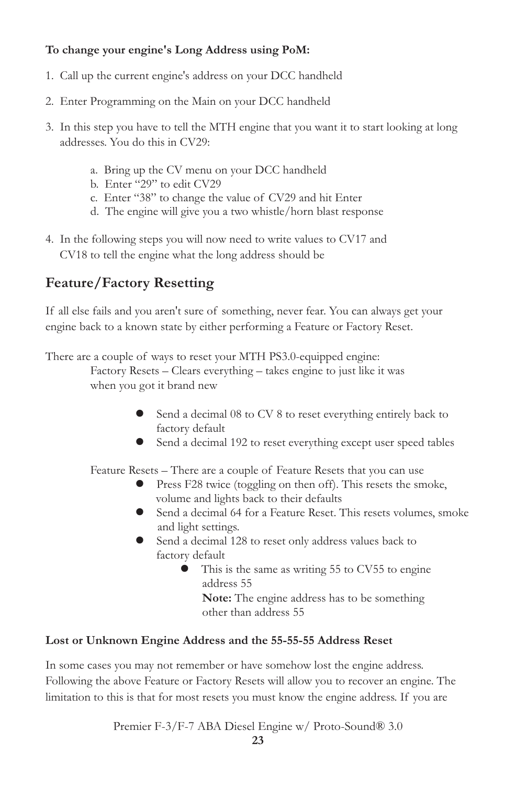### **To change your engine's Long Address using PoM:**

- 1. Call up the current engine's address on your DCC handheld
- 2. Enter Programming on the Main on your DCC handheld
- 3. In this step you have to tell the MTH engine that you want it to start looking at long addresses. You do this in CV29:
	- a. Bring up the CV menu on your DCC handheld
	- b. Enter "29" to edit CV29
	- c. Enter "38" to change the value of CV29 and hit Enter
	- d. The engine will give you a two whistle/horn blast response
- 4. In the following steps you will now need to write values to CV17 and CV18 to tell the engine what the long address should be

### **Feature/Factory Resetting**

If all else fails and you aren't sure of something, never fear. You can always get your engine back to a known state by either performing a Feature or Factory Reset.

There are a couple of ways to reset your MTH PS3.0-equipped engine: Factory Resets – Clears everything – takes engine to just like it was when you got it brand new

- Send a decimal 08 to CV 8 to reset everything entirely back to factory default
- l Send a decimal 192 to reset everything except user speed tables

Feature Resets – There are a couple of Feature Resets that you can use

- Press F28 twice (toggling on then off). This resets the smoke, volume and lights back to their defaults
- l Send a decimal 64 for a Feature Reset. This resets volumes, smoke and light settings.
- Send a decimal 128 to reset only address values back to factory default
	- $\bullet$  This is the same as writing 55 to CV55 to engine address 55

**Note:** The engine address has to be something other than address 55

#### **Lost or Unknown Engine Address and the 55-55-55 Address Reset**

In some cases you may not remember or have somehow lost the engine address. Following the above Feature or Factory Resets will allow you to recover an engine. The limitation to this is that for most resets you must know the engine address. If you are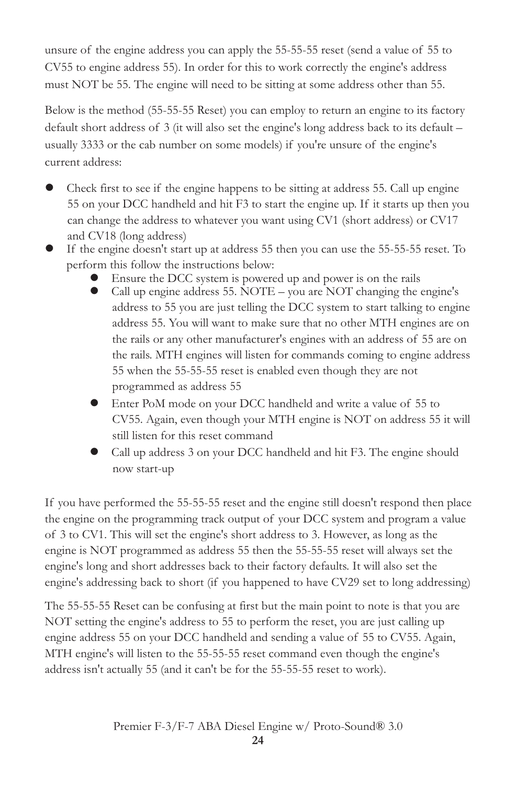unsure of the engine address you can apply the 55-55-55 reset (send a value of 55 to CV55 to engine address 55). In order for this to work correctly the engine's address must NOT be 55. The engine will need to be sitting at some address other than 55.

Below is the method (55-55-55 Reset) you can employ to return an engine to its factory default short address of 3 (it will also set the engine's long address back to its default – usually 3333 or the cab number on some models) if you're unsure of the engine's current address:

- Check first to see if the engine happens to be sitting at address 55. Call up engine 55 on your DCC handheld and hit F3 to start the engine up. If it starts up then you can change the address to whatever you want using CV1 (short address) or CV17 and CV18 (long address)
- l If the engine doesn't start up at address 55 then you can use the 55-55-55 reset. To perform this follow the instructions below:
	- Ensure the DCC system is powered up and power is on the rails
	- l Call up engine address 55. NOTE you are NOT changing the engine's address to 55 you are just telling the DCC system to start talking to engine address 55. You will want to make sure that no other MTH engines are on the rails or any other manufacturer's engines with an address of 55 are on the rails. MTH engines will listen for commands coming to engine address 55 when the 55-55-55 reset is enabled even though they are not programmed as address 55
	- l Enter PoM mode on your DCC handheld and write a value of 55 to CV55. Again, even though your MTH engine is NOT on address 55 it will still listen for this reset command
	- l Call up address 3 on your DCC handheld and hit F3. The engine should now start-up

If you have performed the 55-55-55 reset and the engine still doesn't respond then place the engine on the programming track output of your DCC system and program a value of 3 to CV1. This will set the engine's short address to 3. However, as long as the engine is NOT programmed as address 55 then the 55-55-55 reset will always set the engine's long and short addresses back to their factory defaults. It will also set the engine's addressing back to short (if you happened to have CV29 set to long addressing)

The 55-55-55 Reset can be confusing at first but the main point to note is that you are NOT setting the engine's address to 55 to perform the reset, you are just calling up engine address 55 on your DCC handheld and sending a value of 55 to CV55. Again, MTH engine's will listen to the 55-55-55 reset command even though the engine's address isn't actually 55 (and it can't be for the 55-55-55 reset to work).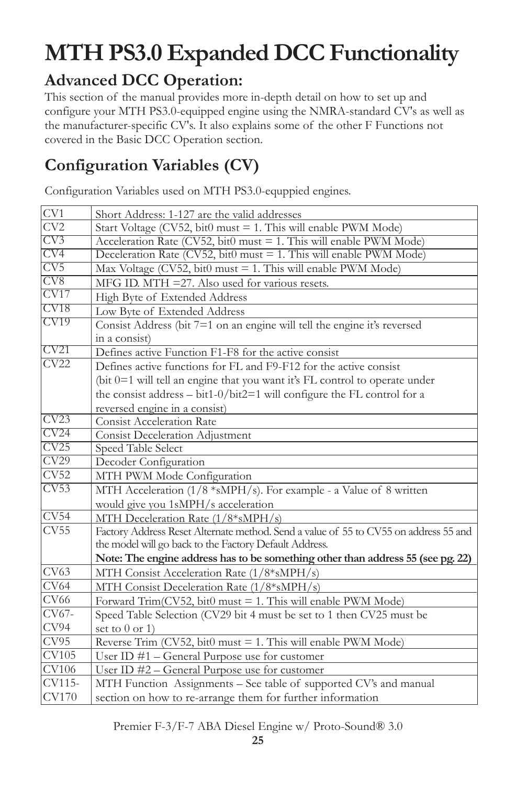# **MTH PS3.0 Expanded DCC Functionality**

# **Advanced DCC Operation:**

This section of the manual provides more in-depth detail on how to set up and configure your MTH PS3.0-equipped engine using the NMRA-standard CV's as well as the manufacturer-specific CV's. It also explains some of the other F Functions not covered in the Basic DCC Operation section.

# **Configuration Variables (CV)**

Configuration Variables used on MTH PS3.0-equppied engines.

| CV1                        | Short Address: 1-127 are the valid addresses                                         |
|----------------------------|--------------------------------------------------------------------------------------|
| CV2                        | Start Voltage (CV52, bit0 must = 1. This will enable PWM Mode)                       |
| CV3                        | Acceleration Rate (CV52, bit0 must = 1. This will enable PWM Mode)                   |
| $\overline{\text{CV4}}$    | Deceleration Rate (CV52, bit0 must = 1. This will enable PWM Mode)                   |
| CV5                        | Max Voltage ( $CV52$ , bit0 must = 1. This will enable PWM Mode)                     |
| CV8                        | $MFG$ ID. $MTH = 27$ . Also used for various resets.                                 |
| CV17                       | High Byte of Extended Address                                                        |
| CV18                       | Low Byte of Extended Address                                                         |
| CV <sub>19</sub>           | Consist Address (bit 7=1 on an engine will tell the engine it's reversed             |
|                            | in a consist)                                                                        |
| CV21                       | Defines active Function F1-F8 for the active consist                                 |
| CV22                       | Defines active functions for FL and F9-F12 for the active consist                    |
|                            | (bit 0=1 will tell an engine that you want it's FL control to operate under          |
|                            | the consist address $-$ bit1-0/bit2=1 will configure the FL control for a            |
|                            | reversed engine in a consist)                                                        |
| CV23                       | <b>Consist Acceleration Rate</b>                                                     |
| CV24                       | <b>Consist Deceleration Adjustment</b>                                               |
| CV25                       | Speed Table Select                                                                   |
| $\overline{\text{CV29}}$   | Decoder Configuration                                                                |
| $\overline{\text{CV52}}$   | MTH PWM Mode Configuration                                                           |
| CV53                       | MTH Acceleration (1/8 *sMPH/s). For example - a Value of 8 written                   |
|                            | would give you 1sMPH/s acceleration                                                  |
| CV54                       | MTH Deceleration Rate (1/8*sMPH/s)                                                   |
| CV55                       | Factory Address Reset Alternate method. Send a value of 55 to CV55 on address 55 and |
|                            | the model will go back to the Factory Default Address.                               |
|                            | Note: The engine address has to be something other than address 55 (see pg. 22)      |
| CV63                       | MTH Consist Acceleration Rate (1/8*sMPH/s)                                           |
| CV64                       | MTH Consist Deceleration Rate (1/8*sMPH/s)                                           |
| <b>CV66</b>                | Forward Trim(CV52, bit0 must = 1. This will enable PWM Mode)                         |
| CV67-                      | Speed Table Selection (CV29 bit 4 must be set to 1 then CV25 must be                 |
| CV94                       | set to $0$ or 1)                                                                     |
| CV95                       | Reverse Trim (CV52, bit0 must = 1. This will enable PWM Mode)                        |
| $\overline{\text{CV}}$ 105 | User ID $#1$ – General Purpose use for customer                                      |
| <b>CV106</b>               | User ID #2 - General Purpose use for customer                                        |
| CV115-                     | MTH Function Assignments - See table of supported CV's and manual                    |
| <b>CV170</b>               | section on how to re-arrange them for further information                            |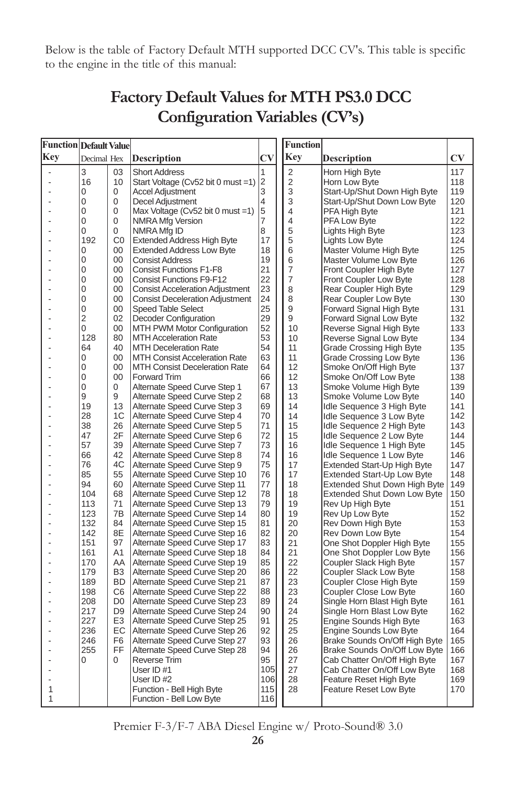Below is the table of Factory Default MTH supported DCC CV's. This table is specific to the engine in the title of this manual:

| Function Default Value |             |                |                                                                |                        | Function       |                                                     |                        |
|------------------------|-------------|----------------|----------------------------------------------------------------|------------------------|----------------|-----------------------------------------------------|------------------------|
| Key                    | Decimal Hex |                | <b>Description</b>                                             | $\mathbf{C}\mathbf{V}$ | Key            | Description                                         | $\mathbf{C}\mathbf{V}$ |
| ä,                     | 3           | 03             | <b>Short Address</b>                                           | 1                      | $\overline{c}$ | Horn High Byte                                      | 117                    |
|                        | 16          | 10             | Start Voltage (Cv52 bit 0 must =1)                             | 12                     | 2              | Horn Low Byte                                       | 118                    |
|                        | 0           | 0              | <b>Accel Adjustment</b>                                        | 3                      | 3              | Start-Up/Shut Down High Byte                        | 119                    |
|                        | 0           | 0              | Decel Adjustment                                               | 4                      | 3              | Start-Up/Shut Down Low Byte                         | 120                    |
|                        | 0           | 0              | Max Voltage ( $Cv52$ bit 0 must =1)                            | 5                      | 4              | PFA High Byte                                       | 121                    |
|                        | 0           | 0              | <b>NMRA Mfg Version</b>                                        | 7                      | 4              | <b>PFA Low Byte</b>                                 | 122                    |
|                        | 0           | 0              | NMRA Mfg ID                                                    | 8                      | 5              | Lights High Byte                                    | 123                    |
|                        | 192         | CO             | <b>Extended Address High Byte</b>                              | 17                     | 5              | Lights Low Byte                                     | 124                    |
|                        | 0           | 00             | <b>Extended Address Low Byte</b>                               | 18                     | 6              | Master Volume High Byte                             | 125                    |
|                        | 0           | 00             | <b>Consist Address</b>                                         | 19                     | 6              | Master Volume Low Byte                              | 126                    |
|                        | 0           | 00             | <b>Consist Functions F1-F8</b>                                 | 21                     | 7              | Front Coupler High Byte                             | 127                    |
|                        | 0           | 00             | <b>Consist Functions F9-F12</b>                                | 22                     | 7              | Front Coupler Low Byte                              | 128                    |
|                        | 0           | 00             | <b>Consist Acceleration Adjustment</b>                         | 23                     | 8              | Rear Coupler High Byte                              | 129                    |
|                        | 0<br>0      | $00 \,$<br>00  | <b>Consist Deceleration Adjustment</b>                         | 24<br>25               | 8              | Rear Coupler Low Byte                               | 130                    |
|                        | 2           | 02             | <b>Speed Table Select</b>                                      | 29                     | 9<br>9         | Forward Signal High Byte                            | 131<br>132             |
|                        | 0           | 00             | Decoder Configuration<br>MTH PWM Motor Configuration           | 52                     | 10             | Forward Signal Low Byte<br>Reverse Signal High Byte | 133                    |
|                        | 128         | 80             | <b>MTH Acceleration Rate</b>                                   | 53                     | 10             | Reverse Signal Low Byte                             | 134                    |
|                        | 64          | 40             | <b>MTH Deceleration Rate</b>                                   | 54                     | 11             | Grade Crossing High Byte                            | 135                    |
|                        | 0           | 00             | <b>MTH Consist Acceleration Rate</b>                           | 63                     | 11             | Grade Crossing Low Byte                             | 136                    |
|                        | 0           | $00 \,$        | <b>MTH Consist Deceleration Rate</b>                           | 64                     | 12             | Smoke On/Off High Byte                              | 137                    |
|                        | 0           | $00 \,$        | <b>Forward Trim</b>                                            | 66                     | 12             | Smoke On/Off Low Byte                               | 138                    |
|                        | 0           | 0              | Alternate Speed Curve Step 1                                   | 67                     | 13             | Smoke Volume High Byte                              | 139                    |
|                        | 9           | 9              | Alternate Speed Curve Step 2                                   | 68                     | 13             | Smoke Volume Low Byte                               | 140                    |
|                        | 19          | 13             | Alternate Speed Curve Step 3                                   | 69                     | 14             | Idle Sequence 3 High Byte                           | 141                    |
|                        | 28          | 1C             | Alternate Speed Curve Step 4                                   | 70                     | 14             | Idle Sequence 3 Low Byte                            | 142                    |
|                        | 38          | 26             | Alternate Speed Curve Step 5                                   | 71                     | 15             | Idle Sequence 2 High Byte                           | 143                    |
|                        | 47          | 2F             | Alternate Speed Curve Step 6                                   | 72                     | 15             | Idle Sequence 2 Low Byte                            | 144                    |
|                        | 57          | 39             | Alternate Speed Curve Step 7                                   | 73                     | 16             | Idle Sequence 1 High Byte                           | 145                    |
|                        | 66          | 42             | Alternate Speed Curve Step 8                                   | 74                     | 16             | Idle Sequence 1 Low Byte                            | 146                    |
|                        | 76          | 4C             | Alternate Speed Curve Step 9                                   | 75                     | 17             | Extended Start-Up High Byte                         | 147                    |
|                        | 85          | 55             | Alternate Speed Curve Step 10                                  | 76                     | 17             | Extended Start-Up Low Byte                          | 148                    |
|                        | 94          | 60             | Alternate Speed Curve Step 11                                  | 77                     | 18             | <b>Extended Shut Down High Byte</b>                 | 149                    |
|                        | 104         | 68             | Alternate Speed Curve Step 12                                  | 78<br>79               | 18             | <b>Extended Shut Down Low Byte</b>                  | 150                    |
|                        | 113<br>123  | 71<br>7B       | Alternate Speed Curve Step 13<br>Alternate Speed Curve Step 14 | 80                     | 19<br>19       | Rev Up High Byte<br>Rev Up Low Byte                 | 151<br>152             |
|                        | 132         | 84             | Alternate Speed Curve Step 15                                  | 81                     | 20             | Rev Down High Byte                                  | 153                    |
|                        | 142         | 8E             | Alternate Speed Curve Step 16                                  | 82                     | 20             | Rev Down Low Byte                                   | 154                    |
|                        | 151         | 97             | Alternate Speed Curve Step 17                                  | 83                     | 21             | One Shot Doppler High Byte                          | 155                    |
|                        | 161         | A1             | Alternate Speed Curve Step 18                                  | 84                     | 21             | One Shot Doppler Low Byte                           | 156                    |
|                        | 170         | AA             | Alternate Speed Curve Step 19                                  | 85                     | 22             | Coupler Slack High Byte                             | 157                    |
|                        | 179         | B <sub>3</sub> | Alternate Speed Curve Step 20                                  | 86                     | 22             | Coupler Slack Low Byte                              | 158                    |
|                        | 189         | BD.            | Alternate Speed Curve Step 21                                  | 87                     | 23             | Coupler Close High Byte                             | 159                    |
|                        | 198         | C6             | Alternate Speed Curve Step 22                                  | 88                     | 23             | Coupler Close Low Byte                              | 160                    |
|                        | 208         | D0             | Alternate Speed Curve Step 23                                  | 89                     | 24             | Single Horn Blast High Byte                         | 161                    |
|                        | 217         | D9             | Alternate Speed Curve Step 24                                  | 90                     | 24             | Single Horn Blast Low Byte                          | 162                    |
|                        | 227         | E <sub>3</sub> | Alternate Speed Curve Step 25                                  | 91                     | 25             | <b>Engine Sounds High Byte</b>                      | 163                    |
|                        | 236         | EC             | Alternate Speed Curve Step 26                                  | 92                     | 25             | <b>Engine Sounds Low Byte</b>                       | 164                    |
|                        | 246         | F6             | Alternate Speed Curve Step 27                                  | 93                     | 26             | Brake Sounds On/Off High Byte                       | 165                    |
|                        | 255         | FF             | Alternate Speed Curve Step 28                                  | 94                     | 26             | Brake Sounds On/Off Low Byte                        | 166                    |
|                        | 0           | 0              | Reverse Trim                                                   | 95                     | 27             | Cab Chatter On/Off High Byte                        | 167                    |
|                        |             |                | User ID #1                                                     | 105                    | 27             | Cab Chatter On/Off Low Byte                         | 168                    |
| 1                      |             |                | User ID #2                                                     | 106<br>115             | 28<br>28       | Feature Reset High Byte                             | 169<br>170             |
| 1                      |             |                | Function - Bell High Byte<br>Function - Bell Low Byte          | 116                    |                | <b>Feature Reset Low Byte</b>                       |                        |

## **Factory Default Values for MTH PS3.0 DCC Configuration Variables (CV's)**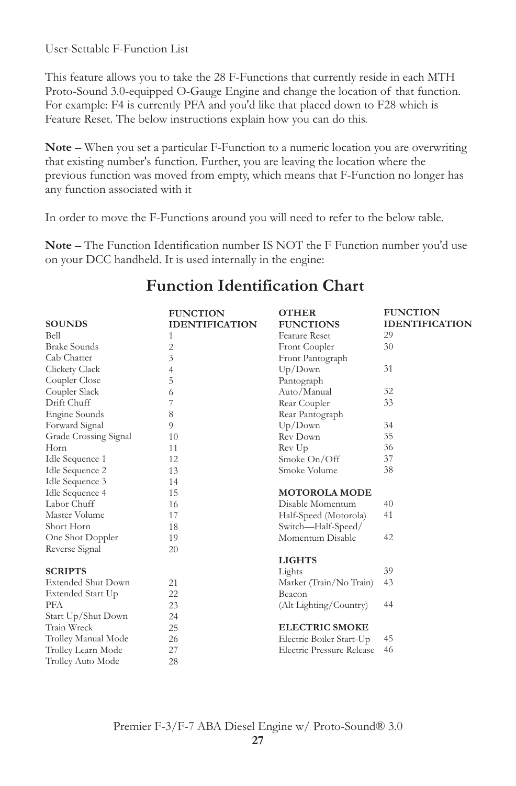User-Settable F-Function List

This feature allows you to take the 28 F-Functions that currently reside in each MTH Proto-Sound 3.0-equipped O-Gauge Engine and change the location of that function. For example: F4 is currently PFA and you'd like that placed down to F28 which is Feature Reset. The below instructions explain how you can do this.

**Note** – When you set a particular F-Function to a numeric location you are overwriting that existing number's function. Further, you are leaving the location where the previous function was moved from empty, which means that F-Function no longer has any function associated with it

In order to move the F-Functions around you will need to refer to the below table.

**Note** – The Function Identification number IS NOT the F Function number you'd use on your DCC handheld. It is used internally in the engine:

|                           | <b>FUNCTION</b>       | <b>OTHER</b>              | <b>FUNCTION</b>       |
|---------------------------|-----------------------|---------------------------|-----------------------|
| <b>SOUNDS</b>             | <b>IDENTIFICATION</b> | <b>FUNCTIONS</b>          | <b>IDENTIFICATION</b> |
| <b>Bell</b>               | 1                     | <b>Feature Reset</b>      | 29                    |
| <b>Brake Sounds</b>       | 2                     | Front Coupler             | 30                    |
| Cab Chatter               | 3                     | Front Pantograph          |                       |
| Clickety Clack            | 4                     | Up/Down                   | 31                    |
| Coupler Close             | 5                     | Pantograph                |                       |
| Coupler Slack             | 6                     | Auto/Manual               | 32                    |
| Drift Chuff               | 7                     | Rear Coupler              | 33                    |
| Engine Sounds             | 8                     | Rear Pantograph           |                       |
| Forward Signal            | 9                     | Up/Down                   | 34                    |
| Grade Crossing Signal     | 10                    | Rev Down                  | 35                    |
| Horn                      | 11                    | Rev Up                    | 36                    |
| Idle Sequence 1           | 12                    | Smoke On/Off              | 37                    |
| Idle Sequence 2           | 13                    | Smoke Volume              | 38                    |
| Idle Sequence 3           | 14                    |                           |                       |
| Idle Sequence 4           | 15                    | <b>MOTOROLA MODE</b>      |                       |
| Labor Chuff               | 16                    | Disable Momentum          | 40                    |
| Master Volume             | 17                    | Half-Speed (Motorola)     | 41                    |
| Short Horn                | 18                    | Switch-Half-Speed/        |                       |
| One Shot Doppler          | 19                    | Momentum Disable          | 42                    |
| Reverse Signal            | 20                    |                           |                       |
|                           |                       | <b>LIGHTS</b>             |                       |
| <b>SCRIPTS</b>            |                       | Lights                    | 39                    |
| <b>Extended Shut Down</b> | 21                    | Marker (Train/No Train)   | 43                    |
| Extended Start Up         | 22                    | Beacon                    |                       |
| <b>PFA</b>                | 23                    | (Alt Lighting/Country)    | 44                    |
| Start Up/Shut Down        | 24                    |                           |                       |
| Train Wreck               | 25                    | <b>ELECTRIC SMOKE</b>     |                       |
| Trolley Manual Mode       | 26                    | Electric Boiler Start-Up  | 45                    |
| Trolley Learn Mode        | 27                    | Electric Pressure Release | 46                    |
| Trolley Auto Mode         | 28                    |                           |                       |
|                           |                       |                           |                       |

## **Function Identification Chart**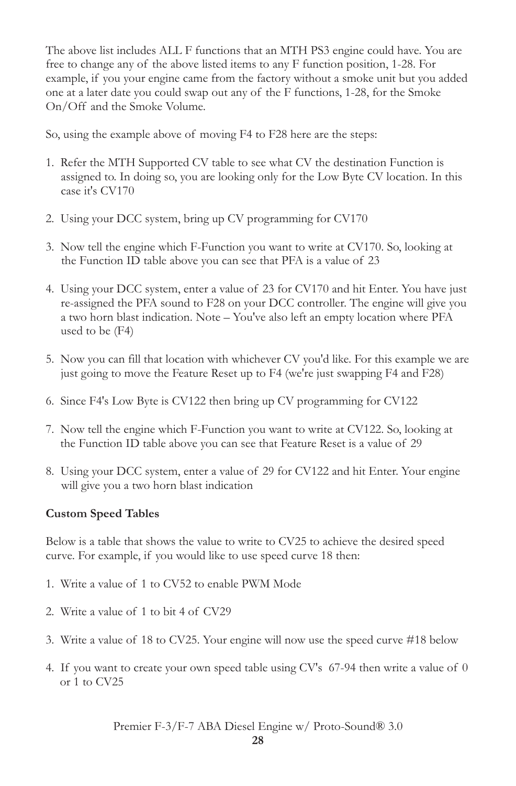The above list includes ALL F functions that an MTH PS3 engine could have. You are free to change any of the above listed items to any F function position, 1-28. For example, if you your engine came from the factory without a smoke unit but you added one at a later date you could swap out any of the F functions, 1-28, for the Smoke On/Off and the Smoke Volume.

So, using the example above of moving F4 to F28 here are the steps:

- 1. Refer the MTH Supported CV table to see what CV the destination Function is assigned to. In doing so, you are looking only for the Low Byte CV location. In this case it's CV170
- 2. Using your DCC system, bring up CV programming for CV170
- 3. Now tell the engine which F-Function you want to write at CV170. So, looking at the Function ID table above you can see that PFA is a value of 23
- 4. Using your DCC system, enter a value of 23 for CV170 and hit Enter. You have just re-assigned the PFA sound to F28 on your DCC controller. The engine will give you a two horn blast indication. Note – You've also left an empty location where PFA used to be (F4)
- 5. Now you can fill that location with whichever CV you'd like. For this example we are just going to move the Feature Reset up to F4 (we're just swapping F4 and F28)
- 6. Since F4's Low Byte is CV122 then bring up CV programming for CV122
- 7. Now tell the engine which F-Function you want to write at CV122. So, looking at the Function ID table above you can see that Feature Reset is a value of 29
- 8. Using your DCC system, enter a value of 29 for CV122 and hit Enter. Your engine will give you a two horn blast indication

### **Custom Speed Tables**

Below is a table that shows the value to write to CV25 to achieve the desired speed curve. For example, if you would like to use speed curve 18 then:

- 1. Write a value of 1 to CV52 to enable PWM Mode
- 2. Write a value of 1 to bit 4 of CV29
- 3. Write a value of 18 to CV25. Your engine will now use the speed curve #18 below
- 4. If you want to create your own speed table using CV's 67-94 then write a value of 0 or 1 to CV25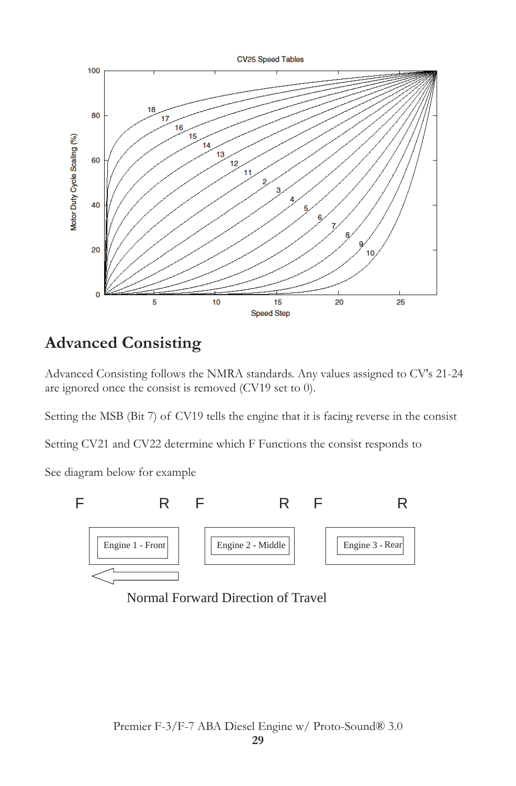

## **Advanced Consisting**

Advanced Consisting follows the NMRA standards. Any values assigned to CV's 21-24 are ignored once the consist is removed (CV19 set to 0).

Setting the MSB (Bit 7) of CV19 tells the engine that it is facing reverse in the consist

Setting CV21 and CV22 determine which F Functions the consist responds to

See diagram below for example



Normal Forward Direction of Travel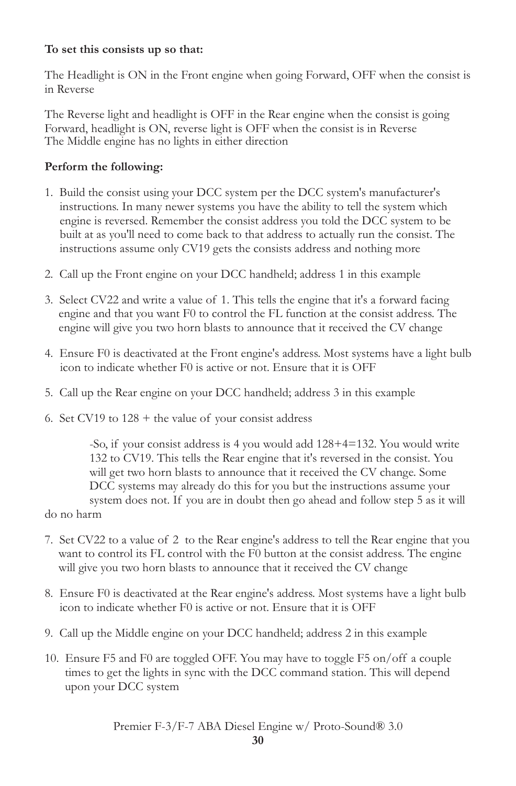#### **To set this consists up so that:**

The Headlight is ON in the Front engine when going Forward, OFF when the consist is in Reverse

The Reverse light and headlight is OFF in the Rear engine when the consist is going Forward, headlight is ON, reverse light is OFF when the consist is in Reverse The Middle engine has no lights in either direction

#### **Perform the following:**

- 1. Build the consist using your DCC system per the DCC system's manufacturer's instructions. In many newer systems you have the ability to tell the system which engine is reversed. Remember the consist address you told the DCC system to be built at as you'll need to come back to that address to actually run the consist. The instructions assume only CV19 gets the consists address and nothing more
- 2. Call up the Front engine on your DCC handheld; address 1 in this example
- 3. Select CV22 and write a value of 1. This tells the engine that it's a forward facing engine and that you want F0 to control the FL function at the consist address. The engine will give you two horn blasts to announce that it received the CV change
- 4. Ensure F0 is deactivated at the Front engine's address. Most systems have a light bulb icon to indicate whether F0 is active or not. Ensure that it is OFF
- 5. Call up the Rear engine on your DCC handheld; address 3 in this example
- 6. Set CV19 to  $128 +$  the value of your consist address

-So, if your consist address is 4 you would add 128+4=132. You would write 132 to CV19. This tells the Rear engine that it's reversed in the consist. You will get two horn blasts to announce that it received the CV change. Some DCC systems may already do this for you but the instructions assume your system does not. If you are in doubt then go ahead and follow step 5 as it will

do no harm

- 7. Set CV22 to a value of 2 to the Rear engine's address to tell the Rear engine that you want to control its FL control with the F0 button at the consist address. The engine will give you two horn blasts to announce that it received the CV change
- 8. Ensure F0 is deactivated at the Rear engine's address. Most systems have a light bulb icon to indicate whether F0 is active or not. Ensure that it is OFF
- 9. Call up the Middle engine on your DCC handheld; address 2 in this example
- 10. Ensure F5 and F0 are toggled OFF. You may have to toggle F5 on/off a couple times to get the lights in sync with the DCC command station. This will depend upon your DCC system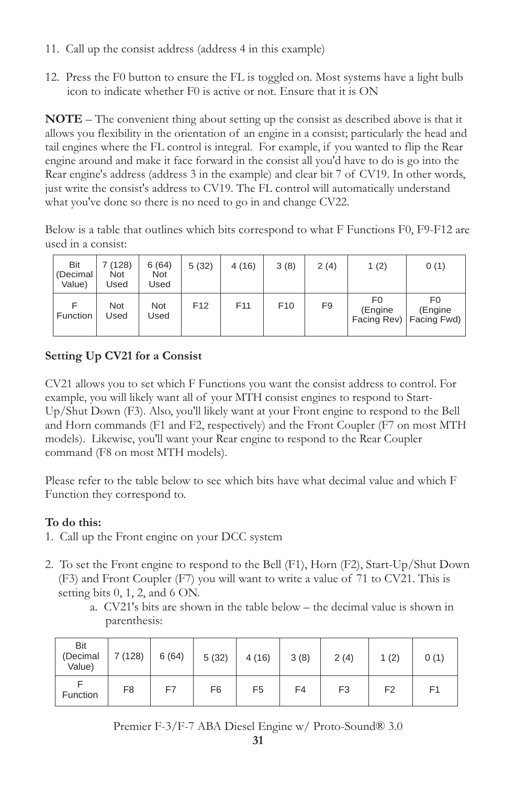- 11. Call up the consist address (address 4 in this example)
- 12. Press the F0 button to ensure the FL is toggled on. Most systems have a light bulb icon to indicate whether F0 is active or not. Ensure that it is ON

**NOTE** – The convenient thing about setting up the consist as described above is that it allows you flexibility in the orientation of an engine in a consist; particularly the head and tail engines where the FL control is integral. For example, if you wanted to flip the Rear engine around and make it face forward in the consist all you'd have to do is go into the Rear engine's address (address 3 in the example) and clear bit 7 of CV19. In other words, just write the consist's address to CV19. The FL control will automatically understand what you've done so there is no need to go in and change CV22.

Below is a table that outlines which bits correspond to what F Functions F0, F9-F12 are used in a consist:

| <b>Bit</b><br>(Decimal<br>Value) | 7 (128)<br>Not<br>Used | 6(64)<br><b>Not</b><br>Used | 5(32)           | 4(16)           | 3(8)            | 2(4)           | 1(2)          | 0(1)                                        |
|----------------------------------|------------------------|-----------------------------|-----------------|-----------------|-----------------|----------------|---------------|---------------------------------------------|
| <b>Function</b>                  | Not<br>Used            | Not<br>Used                 | F <sub>12</sub> | F <sub>11</sub> | F <sub>10</sub> | F <sub>9</sub> | F0<br>(Engine | F0.<br>(Engine<br>Facing Rev)   Facing Fwd) |

### **Setting Up CV21 for a Consist**

CV21 allows you to set which F Functions you want the consist address to control. For example, you will likely want all of your MTH consist engines to respond to Start-Up/Shut Down (F3). Also, you'll likely want at your Front engine to respond to the Bell and Horn commands (F1 and F2, respectively) and the Front Coupler (F7 on most MTH models). Likewise, you'll want your Rear engine to respond to the Rear Coupler command (F8 on most MTH models).

Please refer to the table below to see which bits have what decimal value and which F Function they correspond to.

### **To do this:**

- 1. Call up the Front engine on your DCC system
- 2. To set the Front engine to respond to the Bell (F1), Horn (F2), Start-Up/Shut Down (F3) and Front Coupler (F7) you will want to write a value of 71 to CV21. This is setting bits 0, 1, 2, and 6 ON.
	- a. CV21's bits are shown in the table below the decimal value is shown in parenthesis:

| Bit<br>(Decimal<br>Value) | 7(128)         | 6(64) | 5(32)          | 4(16)          | 3(8) | 2(4)           | 1(2)           | 0(1) |
|---------------------------|----------------|-------|----------------|----------------|------|----------------|----------------|------|
| Function                  | F <sub>8</sub> | F7    | F <sub>6</sub> | F <sub>5</sub> | F4   | F <sub>3</sub> | F <sub>2</sub> | F1   |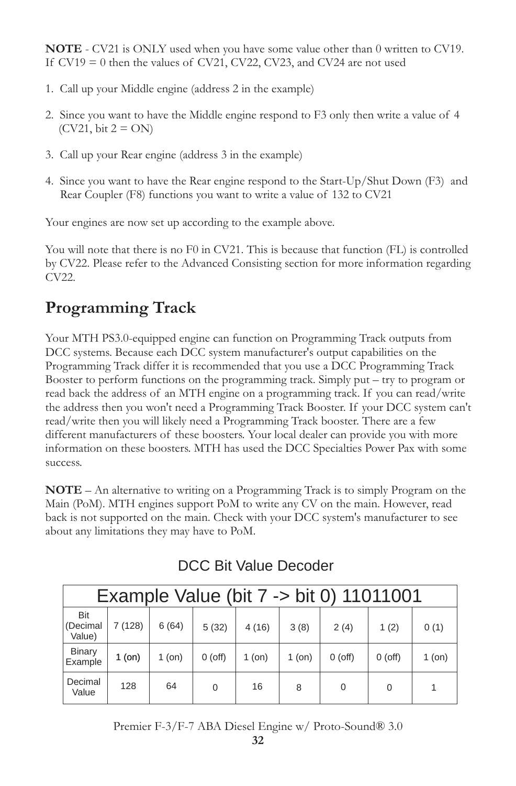**NOTE** - CV21 is ONLY used when you have some value other than 0 written to CV19. If  $CV19 = 0$  then the values of  $CV21$ ,  $CV22$ ,  $CV23$ , and  $CV24$  are not used

- 1. Call up your Middle engine (address 2 in the example)
- 2. Since you want to have the Middle engine respond to F3 only then write a value of 4  $(CV21, \text{bit } 2 = ON)$
- 3. Call up your Rear engine (address 3 in the example)
- 4. Since you want to have the Rear engine respond to the Start-Up/Shut Down (F3) and Rear Coupler (F8) functions you want to write a value of 132 to CV21

Your engines are now set up according to the example above.

You will note that there is no F0 in CV21. This is because that function (FL) is controlled by CV22. Please refer to the Advanced Consisting section for more information regarding CV22.

# **Programming Track**

Your MTH PS3.0-equipped engine can function on Programming Track outputs from DCC systems. Because each DCC system manufacturer's output capabilities on the Programming Track differ it is recommended that you use a DCC Programming Track Booster to perform functions on the programming track. Simply put – try to program or read back the address of an MTH engine on a programming track. If you can read/write the address then you won't need a Programming Track Booster. If your DCC system can't read/write then you will likely need a Programming Track booster. There are a few different manufacturers of these boosters. Your local dealer can provide you with more information on these boosters. MTH has used the DCC Specialties Power Pax with some success.

**NOTE** – An alternative to writing on a Programming Track is to simply Program on the Main (PoM). MTH engines support PoM to write any CV on the main. However, read back is not supported on the main. Check with your DCC system's manufacturer to see about any limitations they may have to PoM.

| Example Value (bit 7 -> bit 0) 11011001 |          |          |           |          |          |           |           |        |
|-----------------------------------------|----------|----------|-----------|----------|----------|-----------|-----------|--------|
| <b>Bit</b><br>(Decimal<br>Value)        | 7 (128)  | 6(64)    | 5(32)     | 4(16)    | 3(8)     | 2(4)      | 1(2)      | 0(1)   |
| <b>Binary</b><br>Example                | $1$ (on) | $1$ (on) | $0$ (off) | $1$ (on) | $1$ (on) | $0$ (off) | $0$ (off) | 1 (on) |
| Decimal<br>Value                        | 128      | 64       | $\Omega$  | 16       | 8        | 0         | $\Omega$  |        |

### DCC Bit Value Decoder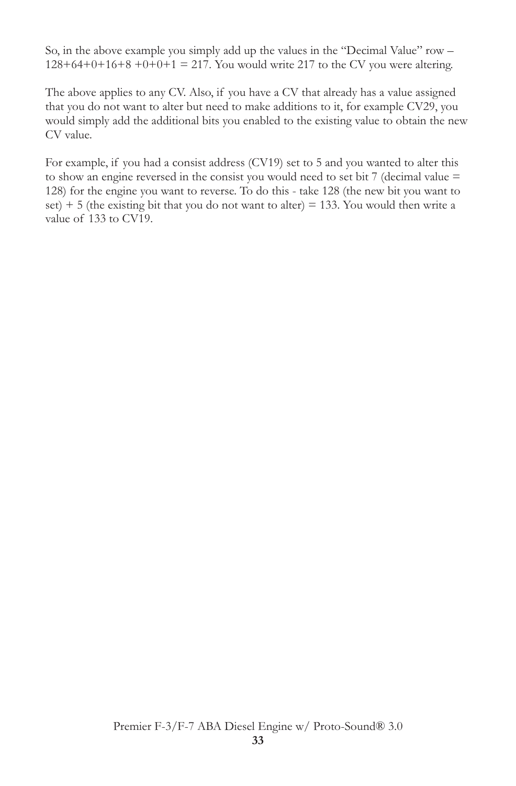So, in the above example you simply add up the values in the "Decimal Value" row –  $128+64+0+16+8+0+0+1 = 217$ . You would write 217 to the CV you were altering.

The above applies to any CV. Also, if you have a CV that already has a value assigned that you do not want to alter but need to make additions to it, for example CV29, you would simply add the additional bits you enabled to the existing value to obtain the new CV value.

For example, if you had a consist address (CV19) set to 5 and you wanted to alter this to show an engine reversed in the consist you would need to set bit 7 (decimal value = 128) for the engine you want to reverse. To do this - take 128 (the new bit you want to set)  $+ 5$  (the existing bit that you do not want to alter) = 133. You would then write a value of 133 to CV19.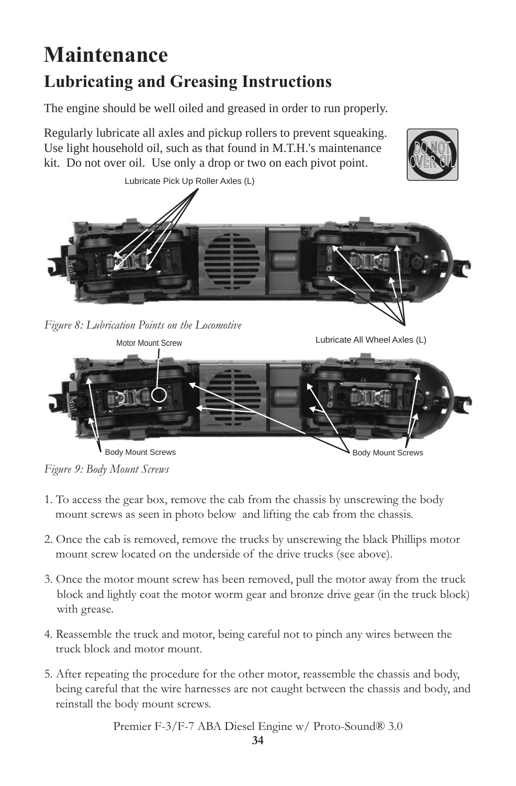# **Maintenance Lubricating and Greasing Instructions**

The engine should be well oiled and greased in order to run properly.

Regularly lubricate all axles and pickup rollers to prevent squeaking. Use light household oil, such as that found in M.T.H.'s maintenance kit. Do not over oil. Use only a drop or two on each pivot point.



*Figure 8: Lubrication Points on the Locomotive*

Lubricate All Wheel Axles (L)

DO NOT OVER OIL



*Figure 9: Body Mount Screws*

- 1. To access the gear box, remove the cab from the chassis by unscrewing the body mount screws as seen in photo below and lifting the cab from the chassis.
- 2. Once the cab is removed, remove the trucks by unscrewing the black Phillips motor mount screw located on the underside of the drive trucks (see above).
- 3. Once the motor mount screw has been removed, pull the motor away from the truck block and lightly coat the motor worm gear and bronze drive gear (in the truck block) with grease.
- 4. Reassemble the truck and motor, being careful not to pinch any wires between the truck block and motor mount.
- 5. After repeating the procedure for the other motor, reassemble the chassis and body, being careful that the wire harnesses are not caught between the chassis and body, and reinstall the body mount screws.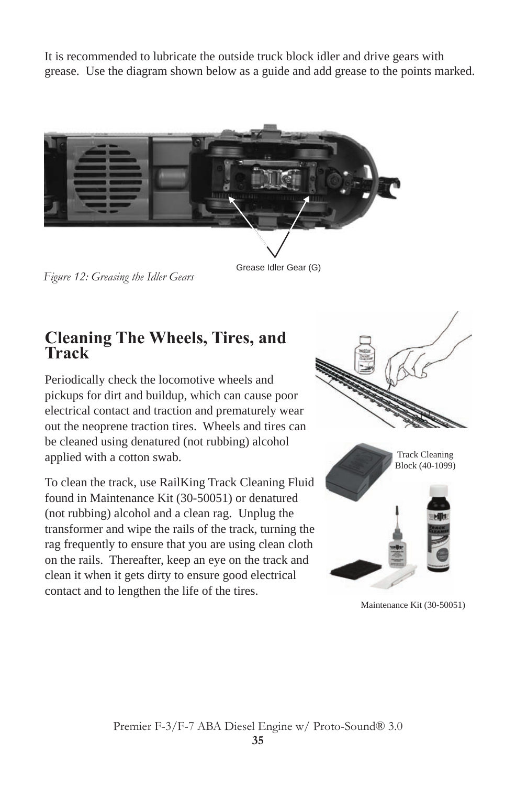It is recommended to lubricate the outside truck block idler and drive gears with grease. Use the diagram shown below as a guide and add grease to the points marked.



*Figure 12: Greasing the Idler Gears*

Grease Idler Gear (G)

### **Cleaning The Wheels, Tires, and Track**

Periodically check the locomotive wheels and pickups for dirt and buildup, which can cause poor electrical contact and traction and prematurely wear out the neoprene traction tires. Wheels and tires can be cleaned using denatured (not rubbing) alcohol applied with a cotton swab.

To clean the track, use RailKing Track Cleaning Fluid found in Maintenance Kit (30-50051) or denatured (not rubbing) alcohol and a clean rag. Unplug the transformer and wipe the rails of the track, turning the rag frequently to ensure that you are using clean cloth on the rails. Thereafter, keep an eye on the track and clean it when it gets dirty to ensure good electrical contact and to lengthen the life of the tires.





Maintenance Kit (30-50051)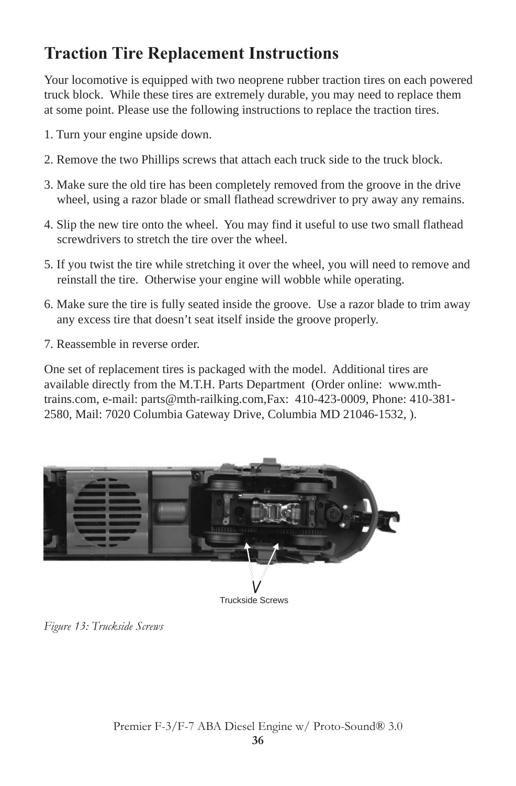# **Traction Tire Replacement Instructions**

Your locomotive is equipped with two neoprene rubber traction tires on each powered truck block. While these tires are extremely durable, you may need to replace them at some point. Please use the following instructions to replace the traction tires.

- 1. Turn your engine upside down.
- 2. Remove the two Phillips screws that attach each truck side to the truck block.
- 3. Make sure the old tire has been completely removed from the groove in the drive wheel, using a razor blade or small flathead screwdriver to pry away any remains.
- 4. Slip the new tire onto the wheel. You may find it useful to use two small flathead screwdrivers to stretch the tire over the wheel.
- 5. If you twist the tire while stretching it over the wheel, you will need to remove and reinstall the tire. Otherwise your engine will wobble while operating.
- 6. Make sure the tire is fully seated inside the groove. Use a razor blade to trim away any excess tire that doesn't seat itself inside the groove properly.
- 7. Reassemble in reverse order.

One set of replacement tires is packaged with the model. Additional tires are available directly from the M.T.H. Parts Department (Order online: www.mthtrains.com, e-mail: parts@mth-railking.com,Fax: 410-423-0009, Phone: 410-381- 2580, Mail: 7020 Columbia Gateway Drive, Columbia MD 21046-1532, ).



*Figure 13: Truckside Screws*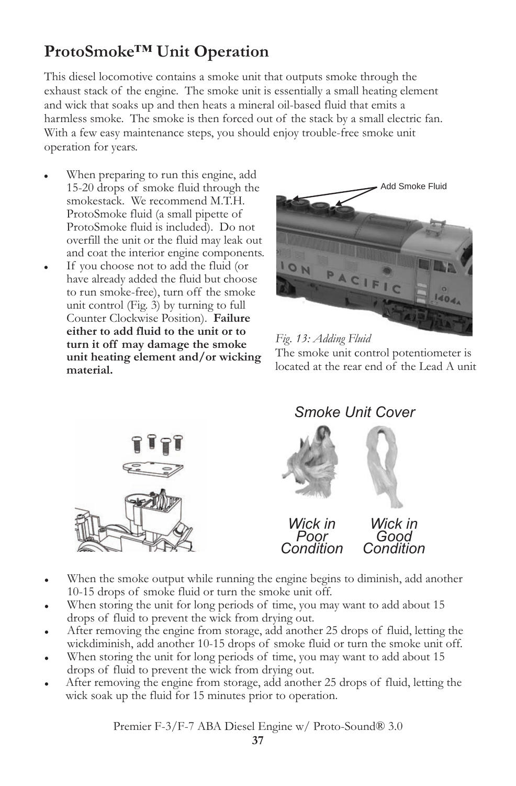# **ProtoSmoke™ Unit Operation**

This diesel locomotive contains a smoke unit that outputs smoke through the exhaust stack of the engine. The smoke unit is essentially a small heating element and wick that soaks up and then heats a mineral oil-based fluid that emits a harmless smoke. The smoke is then forced out of the stack by a small electric fan. With a few easy maintenance steps, you should enjoy trouble-free smoke unit operation for years.

- When preparing to run this engine, add 15-20 drops of smoke fluid through the smokestack. We recommend M.T.H. ProtoSmoke fluid (a small pipette of ProtoSmoke fluid is included). Do not overfill the unit or the fluid may leak out and coat the interior engine components.
- If you choose not to add the fluid (or have already added the fluid but choose to run smoke-free), turn off the smoke unit control (Fig. 3) by turning to full Counter Clockwise Position). **Failure either to add fluid to the unit or to turn it off may damage the smoke unit heating element and/or wicking material.**



*Fig. 13: Adding Fluid* The smoke unit control potentiometer is located at the rear end of the Lead A unit



*Smoke Unit Cover*



- When the smoke output while running the engine begins to diminish, add another 10-15 drops of smoke fluid or turn the smoke unit off.
- When storing the unit for long periods of time, you may want to add about 15 drops of fluid to prevent the wick from drying out.
- After removing the engine from storage, add another 25 drops of fluid, letting the wickdiminish, add another 10-15 drops of smoke fluid or turn the smoke unit off.
- When storing the unit for long periods of time, you may want to add about 15 drops of fluid to prevent the wick from drying out.
- After removing the engine from storage, add another 25 drops of fluid, letting the wick soak up the fluid for 15 minutes prior to operation.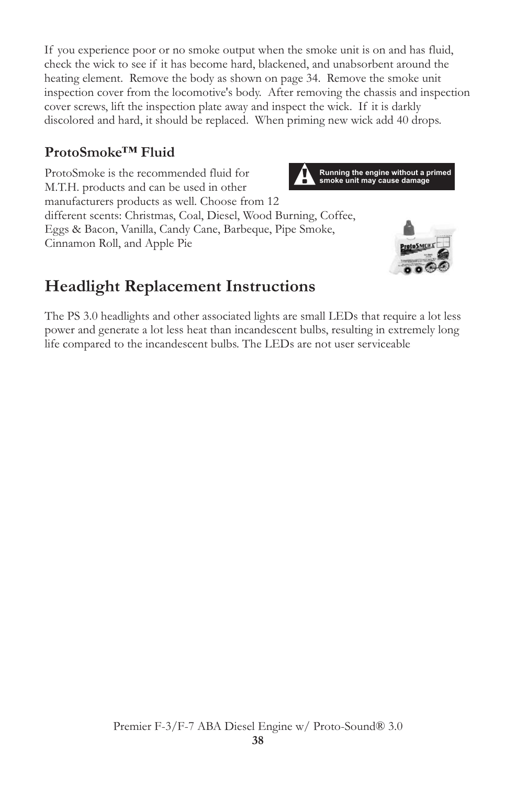If you experience poor or no smoke output when the smoke unit is on and has fluid, check the wick to see if it has become hard, blackened, and unabsorbent around the heating element. Remove the body as shown on page 34. Remove the smoke unit inspection cover from the locomotive's body. After removing the chassis and inspection cover screws, lift the inspection plate away and inspect the wick. If it is darkly discolored and hard, it should be replaced. When priming new wick add 40 drops.

### **ProtoSmoke™ Fluid**

ProtoSmoke is the recommended fluid for M.T.H. products and can be used in other manufacturers products as well. Choose from 12 different scents: Christmas, Coal, Diesel, Wood Burning, Coffee, Eggs & Bacon, Vanilla, Candy Cane, Barbeque, Pipe Smoke, Cinnamon Roll, and Apple Pie





# **Headlight Replacement Instructions**

The PS 3.0 headlights and other associated lights are small LEDs that require a lot less power and generate a lot less heat than incandescent bulbs, resulting in extremely long life compared to the incandescent bulbs. The LEDs are not user serviceable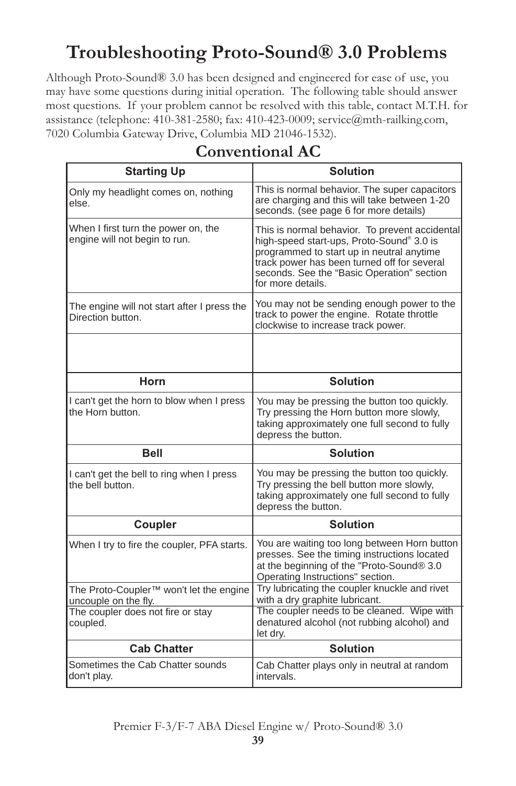# **Troubleshooting Proto-Sound® 3.0 Problems**

Although Proto-Sound® 3.0 has been designed and engineered for ease of use, you may have some questions during initial operation. The following table should answer most questions. If your problem cannot be resolved with this table, contact M.T.H. for assistance (telephone: 410-381-2580; fax: 410-423-0009; service@mth-railking.com, 7020 Columbia Gateway Drive, Columbia MD 21046-1532).

| <b>Starting Up</b>                                                          | <b>Solution</b>                                                                                                                                                                                                                                            |
|-----------------------------------------------------------------------------|------------------------------------------------------------------------------------------------------------------------------------------------------------------------------------------------------------------------------------------------------------|
| Only my headlight comes on, nothing<br>else.                                | This is normal behavior. The super capacitors<br>are charging and this will take between 1-20<br>seconds. (see page 6 for more details)                                                                                                                    |
| When I first turn the power on, the<br>engine will not begin to run.        | This is normal behavior. To prevent accidental<br>high-speed start-ups, Proto-Sound® 3.0 is<br>programmed to start up in neutral anytime<br>track power has been turned off for several<br>seconds. See the "Basic Operation" section<br>for more details. |
| The engine will not start after I press the<br>Direction button.            | You may not be sending enough power to the<br>track to power the engine. Rotate throttle<br>clockwise to increase track power.                                                                                                                             |
|                                                                             |                                                                                                                                                                                                                                                            |
| Horn                                                                        | <b>Solution</b>                                                                                                                                                                                                                                            |
| I can't get the horn to blow when I press<br>the Horn button.               | You may be pressing the button too quickly.<br>Try pressing the Horn button more slowly,<br>taking approximately one full second to fully<br>depress the button.                                                                                           |
| <b>Bell</b>                                                                 | <b>Solution</b>                                                                                                                                                                                                                                            |
| I can't get the bell to ring when I press<br>the bell button.               | You may be pressing the button too quickly.<br>Try pressing the bell button more slowly,<br>taking approximately one full second to fully<br>depress the button.                                                                                           |
| Coupler                                                                     | <b>Solution</b>                                                                                                                                                                                                                                            |
| When I try to fire the coupler, PFA starts.                                 | You are waiting too long between Horn button<br>presses. See the timing instructions located<br>at the beginning of the "Proto-Sound® 3.0<br>Operating Instructions" section.                                                                              |
| The Proto-Coupler <sup>™</sup> won't let the engine<br>uncouple on the fly. | Try lubricating the coupler knuckle and rivet<br>with a dry graphite lubricant.                                                                                                                                                                            |
| The coupler does not fire or stay<br>coupled.                               | The coupler needs to be cleaned. Wipe with<br>denatured alcohol (not rubbing alcohol) and<br>let dry.                                                                                                                                                      |
| <b>Cab Chatter</b>                                                          | <b>Solution</b>                                                                                                                                                                                                                                            |
| Sometimes the Cab Chatter sounds<br>don't play.                             | Cab Chatter plays only in neutral at random<br>intervals.                                                                                                                                                                                                  |

### **Conventional AC**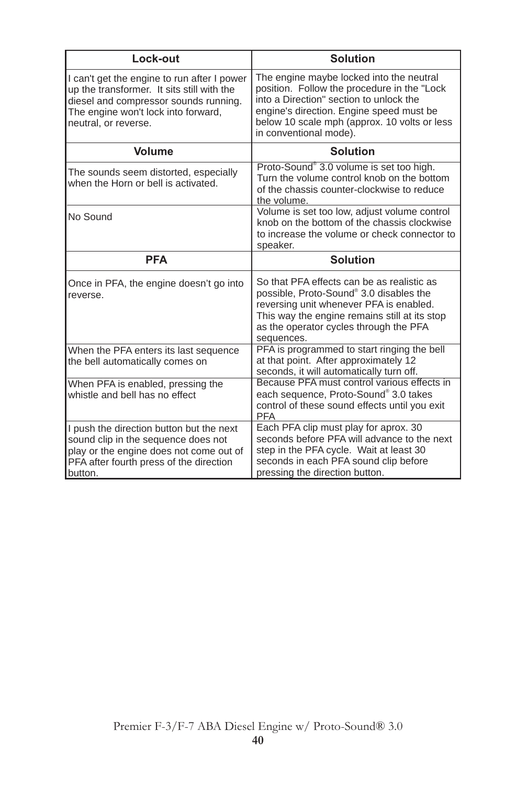| Lock-out                                                                                                                                                                                          | <b>Solution</b>                                                                                                                                                                                                                                           |
|---------------------------------------------------------------------------------------------------------------------------------------------------------------------------------------------------|-----------------------------------------------------------------------------------------------------------------------------------------------------------------------------------------------------------------------------------------------------------|
| I can't get the engine to run after I power<br>up the transformer. It sits still with the<br>diesel and compressor sounds running.<br>The engine won't lock into forward,<br>neutral, or reverse. | The engine maybe locked into the neutral<br>position. Follow the procedure in the "Lock"<br>into a Direction" section to unlock the<br>engine's direction. Engine speed must be<br>below 10 scale mph (approx. 10 volts or less<br>in conventional mode). |
| <b>Volume</b>                                                                                                                                                                                     | <b>Solution</b>                                                                                                                                                                                                                                           |
| The sounds seem distorted, especially<br>when the Horn or bell is activated.                                                                                                                      | Proto-Sound® 3.0 volume is set too high.<br>Turn the volume control knob on the bottom<br>of the chassis counter-clockwise to reduce<br>the volume.                                                                                                       |
| No Sound                                                                                                                                                                                          | Volume is set too low, adjust volume control<br>knob on the bottom of the chassis clockwise<br>to increase the volume or check connector to<br>speaker.                                                                                                   |
| <b>PFA</b>                                                                                                                                                                                        | <b>Solution</b>                                                                                                                                                                                                                                           |
| Once in PFA, the engine doesn't go into<br>reverse.                                                                                                                                               | So that PFA effects can be as realistic as<br>possible, Proto-Sound® 3.0 disables the<br>reversing unit whenever PFA is enabled.<br>This way the engine remains still at its stop<br>as the operator cycles through the PFA<br>sequences.                 |
| When the PFA enters its last sequence<br>the bell automatically comes on                                                                                                                          | PFA is programmed to start ringing the bell<br>at that point. After approximately 12<br>seconds, it will automatically turn off.                                                                                                                          |
| When PFA is enabled, pressing the<br>whistle and hell has no effect                                                                                                                               | Because PFA must control various effects in<br>each sequence, Proto-Sound® 3.0 takes<br>control of these sound effects until you exit<br><b>PFA</b>                                                                                                       |
| I push the direction button but the next<br>sound clip in the sequence does not<br>play or the engine does not come out of<br>PFA after fourth press of the direction<br>button.                  | Each PFA clip must play for aprox. 30<br>seconds before PFA will advance to the next<br>step in the PFA cycle. Wait at least 30<br>seconds in each PFA sound clip before<br>pressing the direction button.                                                |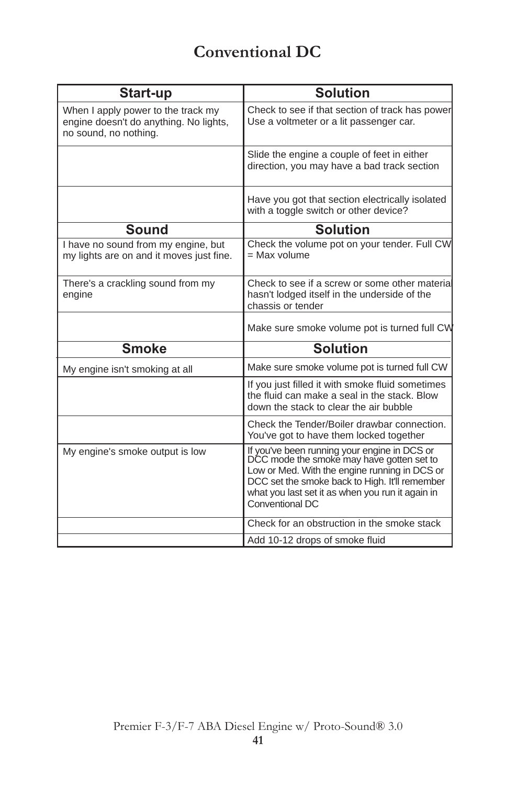## **Conventional DC**

| Start-up                                                                                              | <b>Solution</b>                                                                                                                                                                                                                                                     |
|-------------------------------------------------------------------------------------------------------|---------------------------------------------------------------------------------------------------------------------------------------------------------------------------------------------------------------------------------------------------------------------|
| When I apply power to the track my<br>engine doesn't do anything. No lights,<br>no sound, no nothing. | Check to see if that section of track has power<br>Use a voltmeter or a lit passenger car.                                                                                                                                                                          |
|                                                                                                       | Slide the engine a couple of feet in either<br>direction, you may have a bad track section                                                                                                                                                                          |
|                                                                                                       | Have you got that section electrically isolated<br>with a toggle switch or other device?                                                                                                                                                                            |
| <b>Sound</b>                                                                                          | <b>Solution</b>                                                                                                                                                                                                                                                     |
| I have no sound from my engine, but<br>my lights are on and it moves just fine.                       | Check the volume pot on your tender. Full CW<br>$=$ Max volume                                                                                                                                                                                                      |
| There's a crackling sound from my<br>engine                                                           | Check to see if a screw or some other material<br>hasn't lodged itself in the underside of the<br>chassis or tender                                                                                                                                                 |
|                                                                                                       | Make sure smoke volume pot is turned full CW                                                                                                                                                                                                                        |
| <b>Smoke</b>                                                                                          | <b>Solution</b>                                                                                                                                                                                                                                                     |
| My engine isn't smoking at all                                                                        | Make sure smoke volume pot is turned full CW                                                                                                                                                                                                                        |
|                                                                                                       | If you just filled it with smoke fluid sometimes<br>the fluid can make a seal in the stack. Blow<br>down the stack to clear the air bubble                                                                                                                          |
|                                                                                                       | Check the Tender/Boiler drawbar connection.<br>You've got to have them locked together                                                                                                                                                                              |
| My engine's smoke output is low                                                                       | If you've been running your engine in DCS or<br>DCC mode the smoke may have gotten set to<br>Low or Med. With the engine running in DCS or<br>DCC set the smoke back to High. It'll remember<br>what you last set it as when you run it again in<br>Conventional DC |
|                                                                                                       | Check for an obstruction in the smoke stack                                                                                                                                                                                                                         |
|                                                                                                       | Add 10-12 drops of smoke fluid                                                                                                                                                                                                                                      |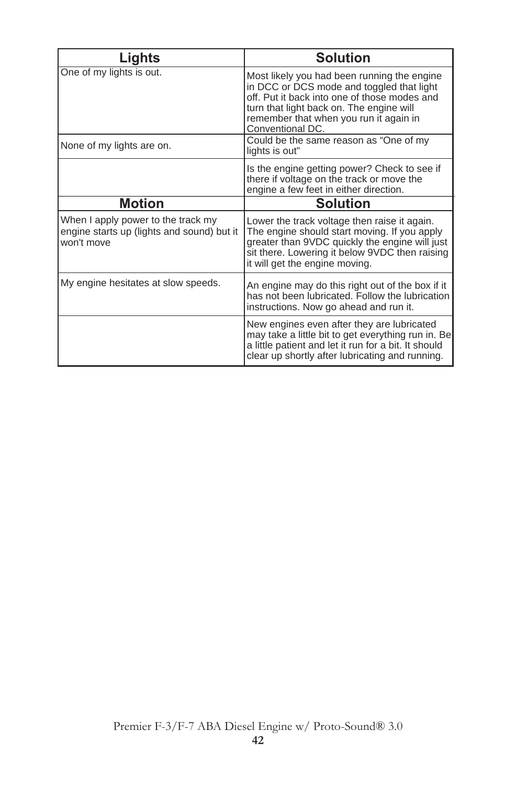| Lights                                                                                         | <b>Solution</b>                                                                                                                                                                                                                                    |
|------------------------------------------------------------------------------------------------|----------------------------------------------------------------------------------------------------------------------------------------------------------------------------------------------------------------------------------------------------|
| One of my lights is out.                                                                       | Most likely you had been running the engine<br>in DCC or DCS mode and toggled that light<br>off. Put it back into one of those modes and<br>turn that light back on. The engine will<br>remember that when you run it again in<br>Conventional DC. |
| None of my lights are on.                                                                      | Could be the same reason as "One of my<br>lights is out"                                                                                                                                                                                           |
|                                                                                                | Is the engine getting power? Check to see if<br>there if voltage on the track or move the<br>engine a few feet in either direction.                                                                                                                |
| <b>Motion</b>                                                                                  | <b>Solution</b>                                                                                                                                                                                                                                    |
| When I apply power to the track my<br>engine starts up (lights and sound) but it<br>won't move | Lower the track voltage then raise it again.<br>The engine should start moving. If you apply<br>greater than 9VDC quickly the engine will just<br>sit there. Lowering it below 9VDC then raising<br>it will get the engine moving.                 |
| My engine hesitates at slow speeds.                                                            | An engine may do this right out of the box if it<br>has not been lubricated. Follow the lubrication<br>instructions. Now go ahead and run it.                                                                                                      |
|                                                                                                | New engines even after they are lubricated<br>may take a little bit to get everything run in. Be<br>a little patient and let it run for a bit. It should<br>clear up shortly after lubricating and running.                                        |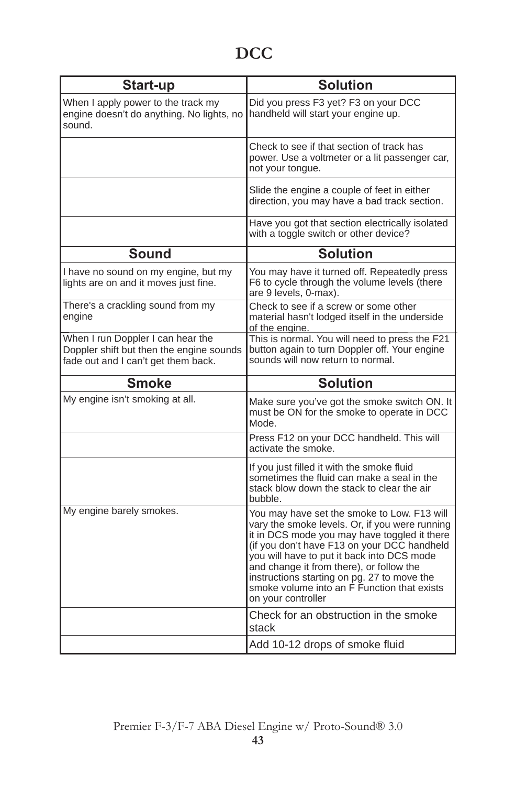| Start-up                                                                                                             | <b>Solution</b>                                                                                                                                                                                                                                                                                                                                                                                                               |
|----------------------------------------------------------------------------------------------------------------------|-------------------------------------------------------------------------------------------------------------------------------------------------------------------------------------------------------------------------------------------------------------------------------------------------------------------------------------------------------------------------------------------------------------------------------|
| When I apply power to the track my<br>engine doesn't do anything. No lights, no<br>sound.                            | Did you press F3 yet? F3 on your DCC<br>handheld will start your engine up.                                                                                                                                                                                                                                                                                                                                                   |
|                                                                                                                      | Check to see if that section of track has<br>power. Use a voltmeter or a lit passenger car,<br>not your tongue.                                                                                                                                                                                                                                                                                                               |
|                                                                                                                      | Slide the engine a couple of feet in either<br>direction, you may have a bad track section.                                                                                                                                                                                                                                                                                                                                   |
|                                                                                                                      | Have you got that section electrically isolated<br>with a toggle switch or other device?                                                                                                                                                                                                                                                                                                                                      |
| Sound                                                                                                                | <b>Solution</b>                                                                                                                                                                                                                                                                                                                                                                                                               |
| I have no sound on my engine, but my<br>lights are on and it moves just fine.                                        | You may have it turned off. Repeatedly press<br>F6 to cycle through the volume levels (there<br>are 9 levels, 0-max).                                                                                                                                                                                                                                                                                                         |
| There's a crackling sound from my<br>engine                                                                          | Check to see if a screw or some other<br>material hasn't lodged itself in the underside<br>of the engine.                                                                                                                                                                                                                                                                                                                     |
| When I run Doppler I can hear the<br>Doppler shift but then the engine sounds<br>fade out and I can't get them back. | This is normal. You will need to press the F21<br>button again to turn Doppler off. Your engine<br>sounds will now return to normal.                                                                                                                                                                                                                                                                                          |
| <b>Smoke</b>                                                                                                         | <b>Solution</b>                                                                                                                                                                                                                                                                                                                                                                                                               |
| My engine isn't smoking at all.                                                                                      | Make sure you've got the smoke switch ON. It<br>must be ON for the smoke to operate in DCC<br>Mode.                                                                                                                                                                                                                                                                                                                           |
|                                                                                                                      | Press F12 on your DCC handheld. This will<br>activate the smoke.                                                                                                                                                                                                                                                                                                                                                              |
|                                                                                                                      | If you just filled it with the smoke fluid<br>sometimes the fluid can make a seal in the<br>stack blow down the stack to clear the air<br>bubble.                                                                                                                                                                                                                                                                             |
| My engine barely smokes.                                                                                             | You may have set the smoke to Low. F13 will<br>vary the smoke levels. Or, if you were running<br>it in DCS mode you may have toggled it there<br>(if you don't have F13 on your DCC handheld<br>you will have to put it back into DCS mode<br>and change it from there), or follow the<br>instructions starting on pg. 27 to move the<br>smoke volume into an $\overrightarrow{F}$ Function that exists<br>on your controller |
|                                                                                                                      |                                                                                                                                                                                                                                                                                                                                                                                                                               |
|                                                                                                                      | Check for an obstruction in the smoke<br>stack<br>Add 10-12 drops of smoke fluid                                                                                                                                                                                                                                                                                                                                              |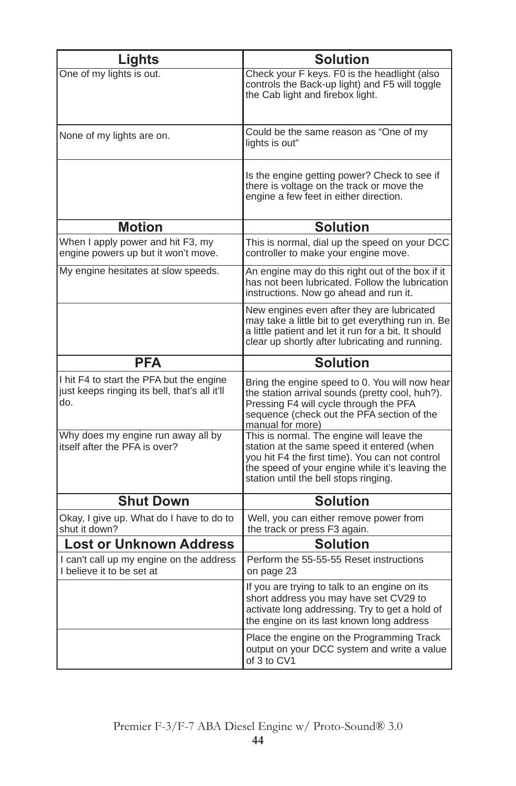| Lights                                                                                           | <b>Solution</b>                                                                                                                                                                                                                        |
|--------------------------------------------------------------------------------------------------|----------------------------------------------------------------------------------------------------------------------------------------------------------------------------------------------------------------------------------------|
| One of my lights is out.                                                                         | Check your F keys. F0 is the headlight (also<br>controls the Back-up light) and F5 will toggle<br>the Cab light and firebox light.                                                                                                     |
| None of my lights are on.                                                                        | Could be the same reason as "One of my<br>lights is out"                                                                                                                                                                               |
|                                                                                                  | Is the engine getting power? Check to see if<br>there is voltage on the track or move the<br>engine a few feet in either direction.                                                                                                    |
| <b>Motion</b>                                                                                    | <b>Solution</b>                                                                                                                                                                                                                        |
| When I apply power and hit F3, my<br>engine powers up but it won't move.                         | This is normal, dial up the speed on your DCC<br>controller to make your engine move.                                                                                                                                                  |
| My engine hesitates at slow speeds.                                                              | An engine may do this right out of the box if it<br>has not been lubricated. Follow the lubrication<br>instructions. Now go ahead and run it.                                                                                          |
|                                                                                                  | New engines even after they are lubricated<br>may take a little bit to get everything run in. Be<br>a little patient and let it run for a bit. It should<br>clear up shortly after lubricating and running.                            |
| <b>PFA</b>                                                                                       | <b>Solution</b>                                                                                                                                                                                                                        |
| I hit F4 to start the PFA but the engine<br>just keeps ringing its bell, that's all it'll<br>do. | Bring the engine speed to 0. You will now hear<br>the station arrival sounds (pretty cool, huh?).<br>Pressing F4 will cycle through the PFA<br>sequence (check out the PFA section of the<br>manual for more)                          |
| Why does my engine run away all by<br>itself after the PFA is over?                              | This is normal. The engine will leave the<br>station at the same speed it entered (when<br>you hit F4 the first time). You can not control<br>the speed of your engine while it's leaving the<br>station until the bell stops ringing. |
| <b>Shut Down</b>                                                                                 | <b>Solution</b>                                                                                                                                                                                                                        |
| Okay, I give up. What do I have to do to<br>shut it down?                                        | Well, you can either remove power from<br>the track or press F3 again.                                                                                                                                                                 |
| <b>Lost or Unknown Address</b>                                                                   | <b>Solution</b>                                                                                                                                                                                                                        |
| I can't call up my engine on the address<br>I believe it to be set at                            | Perform the 55-55-55 Reset instructions<br>on page 23                                                                                                                                                                                  |
|                                                                                                  | If you are trying to talk to an engine on its<br>short address you may have set CV29 to<br>activate long addressing. Try to get a hold of<br>the engine on its last known long address                                                 |
|                                                                                                  | Place the engine on the Programming Track<br>output on your DCC system and write a value<br>of 3 to CV1                                                                                                                                |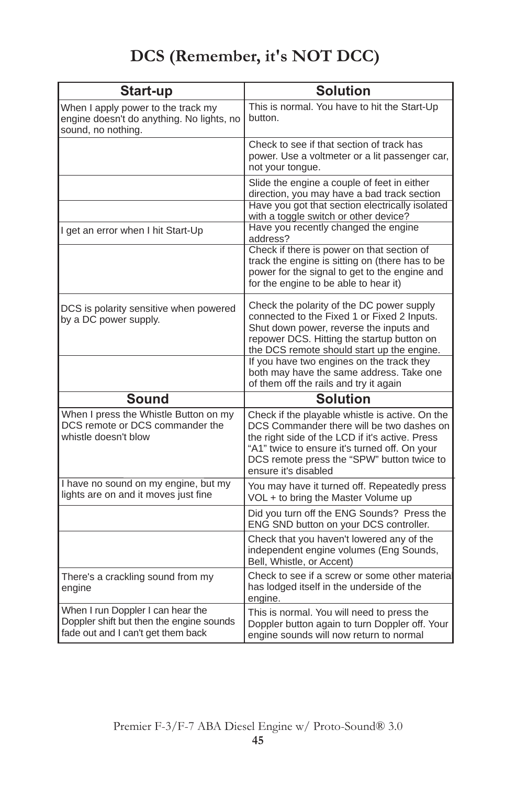# **DCS (Remember, it's NOT DCC)**

| Start-up                                                                                                            | <b>Solution</b>                                                                                                                                                                                                                                                        |
|---------------------------------------------------------------------------------------------------------------------|------------------------------------------------------------------------------------------------------------------------------------------------------------------------------------------------------------------------------------------------------------------------|
| When I apply power to the track my<br>engine doesn't do anything. No lights, no<br>sound, no nothing.               | This is normal. You have to hit the Start-Up<br>button.                                                                                                                                                                                                                |
|                                                                                                                     | Check to see if that section of track has<br>power. Use a voltmeter or a lit passenger car,<br>not your tongue.                                                                                                                                                        |
|                                                                                                                     | Slide the engine a couple of feet in either<br>direction, you may have a bad track section<br>Have you got that section electrically isolated<br>with a toggle switch or other device?                                                                                 |
| I get an error when I hit Start-Up                                                                                  | Have you recently changed the engine<br>address?                                                                                                                                                                                                                       |
|                                                                                                                     | Check if there is power on that section of<br>track the engine is sitting on (there has to be<br>power for the signal to get to the engine and<br>for the engine to be able to hear it)                                                                                |
| DCS is polarity sensitive when powered<br>by a DC power supply.                                                     | Check the polarity of the DC power supply<br>connected to the Fixed 1 or Fixed 2 Inputs.<br>Shut down power, reverse the inputs and<br>repower DCS. Hitting the startup button on<br>the DCS remote should start up the engine.                                        |
|                                                                                                                     | If you have two engines on the track they<br>both may have the same address. Take one<br>of them off the rails and try it again                                                                                                                                        |
| <b>Sound</b>                                                                                                        | <b>Solution</b>                                                                                                                                                                                                                                                        |
| When I press the Whistle Button on my<br>DCS remote or DCS commander the<br>whistle doesn't blow                    | Check if the playable whistle is active. On the<br>DCS Commander there will be two dashes on<br>the right side of the LCD if it's active. Press<br>"A1" twice to ensure it's turned off. On your<br>DCS remote press the "SPW" button twice to<br>ensure it's disabled |
| I have no sound on my engine, but my<br>lights are on and it moves just fine                                        | You may have it turned off. Repeatedly press<br>VOL + to bring the Master Volume up                                                                                                                                                                                    |
|                                                                                                                     | Did you turn off the ENG Sounds? Press the<br>ENG SND button on your DCS controller.                                                                                                                                                                                   |
|                                                                                                                     | Check that you haven't lowered any of the<br>independent engine volumes (Eng Sounds,<br>Bell, Whistle, or Accent)                                                                                                                                                      |
| There's a crackling sound from my<br>engine                                                                         | Check to see if a screw or some other material<br>has lodged itself in the underside of the<br>engine.                                                                                                                                                                 |
| When I run Doppler I can hear the<br>Doppler shift but then the engine sounds<br>fade out and I can't get them back | This is normal. You will need to press the<br>Doppler button again to turn Doppler off. Your<br>engine sounds will now return to normal                                                                                                                                |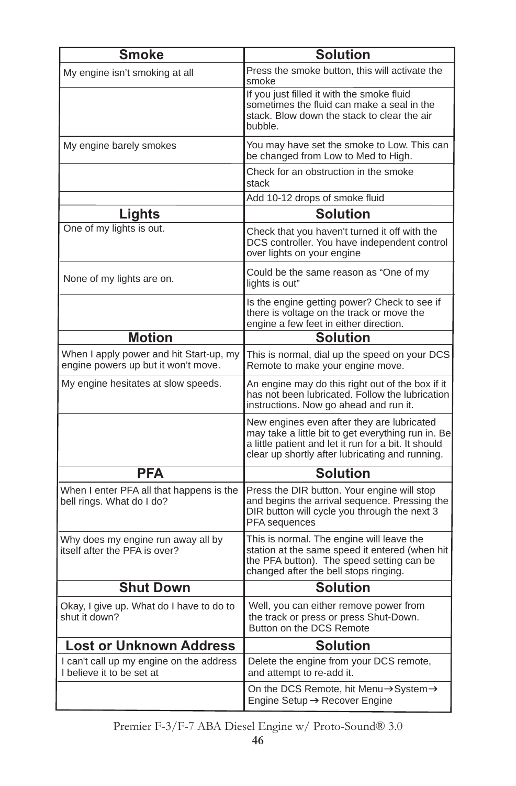| <b>Smoke</b>                                                                   | <b>Solution</b>                                                                                                                                                                                             |  |  |
|--------------------------------------------------------------------------------|-------------------------------------------------------------------------------------------------------------------------------------------------------------------------------------------------------------|--|--|
| My engine isn't smoking at all                                                 | Press the smoke button, this will activate the<br>smoke                                                                                                                                                     |  |  |
|                                                                                | If you just filled it with the smoke fluid<br>sometimes the fluid can make a seal in the<br>stack. Blow down the stack to clear the air<br>bubble.                                                          |  |  |
| My engine barely smokes                                                        | You may have set the smoke to Low. This can<br>be changed from Low to Med to High.                                                                                                                          |  |  |
|                                                                                | Check for an obstruction in the smoke<br>stack                                                                                                                                                              |  |  |
|                                                                                | Add 10-12 drops of smoke fluid                                                                                                                                                                              |  |  |
| Lights                                                                         | <b>Solution</b>                                                                                                                                                                                             |  |  |
| One of my lights is out.                                                       | Check that you haven't turned it off with the<br>DCS controller. You have independent control<br>over lights on your engine                                                                                 |  |  |
| None of my lights are on.                                                      | Could be the same reason as "One of my<br>lights is out"                                                                                                                                                    |  |  |
|                                                                                | Is the engine getting power? Check to see if<br>there is voltage on the track or move the<br>engine a few feet in either direction.                                                                         |  |  |
| <b>Motion</b>                                                                  | Solution                                                                                                                                                                                                    |  |  |
| When I apply power and hit Start-up, my<br>engine powers up but it won't move. | This is normal, dial up the speed on your DCS<br>Remote to make your engine move.                                                                                                                           |  |  |
| My engine hesitates at slow speeds.                                            | An engine may do this right out of the box if it<br>has not been lubricated. Follow the lubrication<br>instructions. Now go ahead and run it.                                                               |  |  |
|                                                                                | New engines even after they are lubricated<br>may take a little bit to get everything run in. Be<br>a little patient and let it run for a bit. It should<br>clear up shortly after lubricating and running. |  |  |
| <b>PFA</b>                                                                     | <b>Solution</b>                                                                                                                                                                                             |  |  |
| When I enter PFA all that happens is the<br>bell rings. What do I do?          | Press the DIR button. Your engine will stop<br>and begins the arrival sequence. Pressing the<br>DIR button will cycle you through the next 3<br>PFA sequences                                               |  |  |
| Why does my engine run away all by<br>itself after the PFA is over?            | This is normal. The engine will leave the<br>station at the same speed it entered (when hit<br>the PFA button). The speed setting can be<br>changed after the bell stops ringing.                           |  |  |
| <b>Shut Down</b>                                                               | <b>Solution</b>                                                                                                                                                                                             |  |  |
| Okay, I give up. What do I have to do to<br>shut it down?                      | Well, you can either remove power from<br>the track or press or press Shut-Down.<br>Button on the DCS Remote                                                                                                |  |  |
| <b>Lost or Unknown Address</b>                                                 | <b>Solution</b>                                                                                                                                                                                             |  |  |
| I can't call up my engine on the address<br>I believe it to be set at          | Delete the engine from your DCS remote,<br>and attempt to re-add it.                                                                                                                                        |  |  |
|                                                                                | On the DCS Remote, hit Menu→System→<br>Engine Setup → Recover Engine                                                                                                                                        |  |  |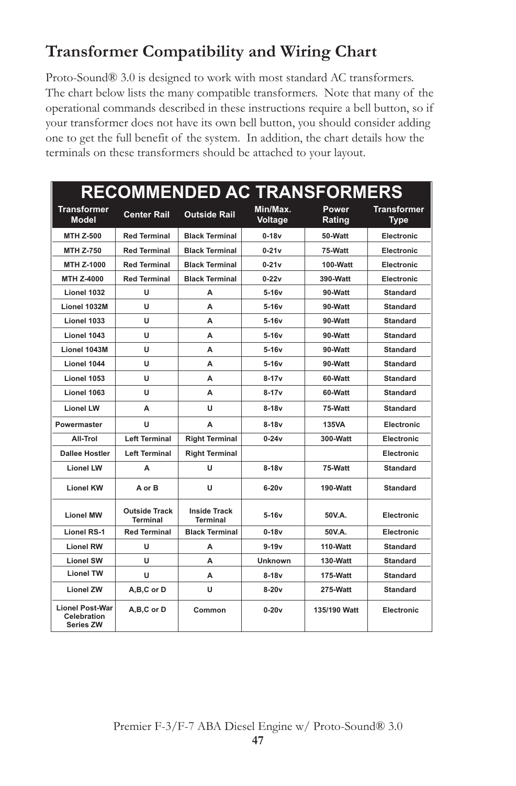# **Transformer Compatibility and Wiring Chart**

Proto-Sound® 3.0 is designed to work with most standard AC transformers. The chart below lists the many compatible transformers. Note that many of the operational commands described in these instructions require a bell button, so if your transformer does not have its own bell button, you should consider adding one to get the full benefit of the system. In addition, the chart details how the terminals on these transformers should be attached to your layout.

| <b>RECOMMENDED AC TRANSFORMERS</b>                        |                                         |                                 |                     |                 |                                   |
|-----------------------------------------------------------|-----------------------------------------|---------------------------------|---------------------|-----------------|-----------------------------------|
| <b>Transformer</b><br><b>Model</b>                        | <b>Center Rail</b>                      | <b>Outside Rail</b>             | Min/Max.<br>Voltage | Power<br>Rating | <b>Transformer</b><br><b>Type</b> |
| MTH Z-500                                                 | <b>Red Terminal</b>                     | <b>Black Terminal</b>           | $0-18v$             | 50-Watt         | Electronic                        |
| <b>MTH Z-750</b>                                          | <b>Red Terminal</b>                     | <b>Black Terminal</b>           | $0-21v$             | 75-Watt         | Electronic                        |
| MTH Z-1000                                                | <b>Red Terminal</b>                     | <b>Black Terminal</b>           | $0-21v$             | 100-Watt        | Electronic                        |
| MTH Z-4000                                                | <b>Red Terminal</b>                     | <b>Black Terminal</b>           | $0 - 22v$           | 390-Watt        | Electronic                        |
| Lionel 1032                                               | U                                       | A                               | $5-16v$             | 90-Watt         | <b>Standard</b>                   |
| Lionel 1032M                                              | u                                       | А                               | $5-16v$             | 90-Watt         | <b>Standard</b>                   |
| Lionel 1033                                               | U                                       | A                               | $5-16v$             | 90-Watt         | <b>Standard</b>                   |
| Lionel 1043                                               | u                                       | A                               | $5 - 16v$           | 90-Watt         | Standard                          |
| Lionel 1043M                                              | U                                       | A                               | $5-16v$             | 90-Watt         | <b>Standard</b>                   |
| Lionel 1044                                               | U                                       | А                               | $5-16v$             | 90-Watt         | <b>Standard</b>                   |
| Lionel 1053                                               | u                                       | A                               | $8-17v$             | 60-Watt         | <b>Standard</b>                   |
| Lionel 1063                                               | u                                       | A                               | $8 - 17v$           | 60-Watt         | <b>Standard</b>                   |
| <b>Lionel LW</b>                                          | A                                       | u                               | $8-18v$             | 75-Watt         | <b>Standard</b>                   |
| Powermaster                                               | U                                       | A                               | $8-18v$             | 135VA           | Electronic                        |
| All-Trol                                                  | <b>Left Terminal</b>                    | <b>Right Terminal</b>           | $0-24v$             | 300-Watt        | Electronic                        |
| <b>Dallee Hostler</b>                                     | <b>Left Terminal</b>                    | <b>Right Terminal</b>           |                     |                 | <b>Electronic</b>                 |
| <b>Lionel LW</b>                                          | A                                       | U                               | $8-18v$             | 75-Watt         | <b>Standard</b>                   |
| <b>Lionel KW</b>                                          | A or B                                  | U                               | $6-20v$             | 190-Watt        | <b>Standard</b>                   |
| <b>Lionel MW</b>                                          | <b>Outside Track</b><br><b>Terminal</b> | <b>Inside Track</b><br>Terminal | $5-16v$             | 50V.A.          | Electronic                        |
| <b>Lionel RS-1</b>                                        | <b>Red Terminal</b>                     | <b>Black Terminal</b>           | $0-18v$             | 50V.A.          | Electronic                        |
| Lionel RW                                                 | u                                       | A                               | $9 - 19v$           | 110-Watt        | Standard                          |
| <b>Lionel SW</b>                                          | U                                       | А                               | <b>Unknown</b>      | 130-Watt        | <b>Standard</b>                   |
| <b>Lionel TW</b>                                          | U                                       | A                               | $8-18v$             | 175-Watt        | <b>Standard</b>                   |
| <b>Lionel ZW</b>                                          | A,B,C or D                              | U                               | $8-20v$             | 275-Watt        | <b>Standard</b>                   |
| <b>Lionel Post-War</b><br>Celebration<br><b>Series ZW</b> | A,B,C or D                              | Common                          | $0-20v$             | 135/190 Watt    | Electronic                        |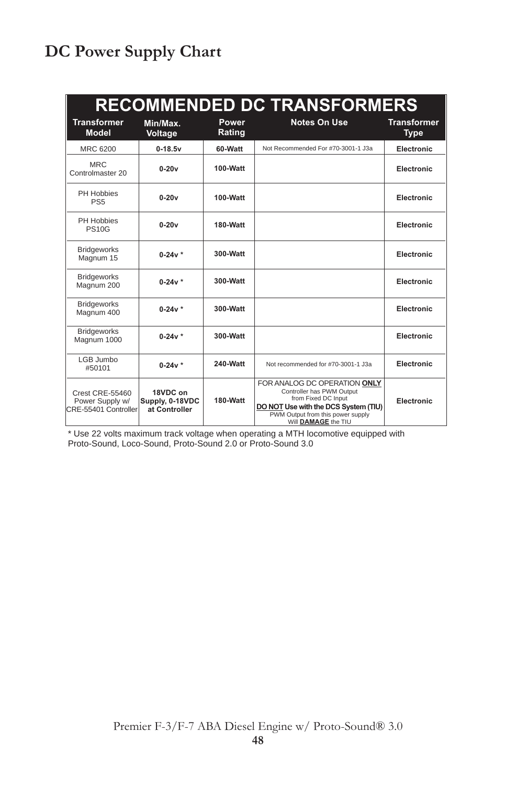# **DC Power Supply Chart**

| <b>RECOMMENDED DC TRANSFORMERS</b>                         |                                              |                 |                                                                                                                                                                                      |                                   |
|------------------------------------------------------------|----------------------------------------------|-----------------|--------------------------------------------------------------------------------------------------------------------------------------------------------------------------------------|-----------------------------------|
| <b>Transformer</b><br><b>Model</b>                         | Min/Max.<br>Voltage                          | Power<br>Rating | <b>Notes On Use</b>                                                                                                                                                                  | <b>Transformer</b><br><b>Type</b> |
| MRC 6200                                                   | $0-18.5v$                                    | 60-Watt         | Not Recommended For #70-3001-1 J3a                                                                                                                                                   | <b>Electronic</b>                 |
| <b>MRC</b><br>Controlmaster 20                             | $0-20v$                                      | 100-Watt        |                                                                                                                                                                                      | Electronic                        |
| PH Hobbies<br>PS <sub>5</sub>                              | $0-20v$                                      | 100-Watt        |                                                                                                                                                                                      | Electronic                        |
| PH Hobbies<br><b>PS10G</b>                                 | $0-20v$                                      | 180-Watt        |                                                                                                                                                                                      | Electronic                        |
| <b>Bridgeworks</b><br>Magnum 15                            | $0-24v *$                                    | $300-Watt$      |                                                                                                                                                                                      | Electronic                        |
| <b>Bridgeworks</b><br>Magnum 200                           | $0-24v *$                                    | 300-Watt        |                                                                                                                                                                                      | Electronic                        |
| <b>Bridgeworks</b><br>Magnum 400                           | $0-24v *$                                    | 300-Watt        |                                                                                                                                                                                      | <b>Electronic</b>                 |
| <b>Bridgeworks</b><br>Magnum 1000                          | $0-24v *$                                    | 300-Watt        |                                                                                                                                                                                      | Electronic                        |
| LGB Jumbo<br>#50101                                        | $0-24v *$                                    | 240-Watt        | Not recommended for #70-3001-1 J3a                                                                                                                                                   | Electronic                        |
| Crest CRE-55460<br>Power Supply w/<br>CRE-55401 Controller | 18VDC on<br>Supply, 0-18VDC<br>at Controller | 180-Watt        | FOR ANALOG DC OPERATION ONLY<br>Controller has PWM Output<br>from Fixed DC Input<br>DO NOT Use with the DCS System (TIU)<br>PWM Output from this power supply<br>Will DAMAGE the TIU | Electronic                        |

\* Use 22 volts maximum track voltage when operating a MTH locomotive equipped with Proto-Sound, Loco-Sound, Proto-Sound 2.0 or Proto-Sound 3.0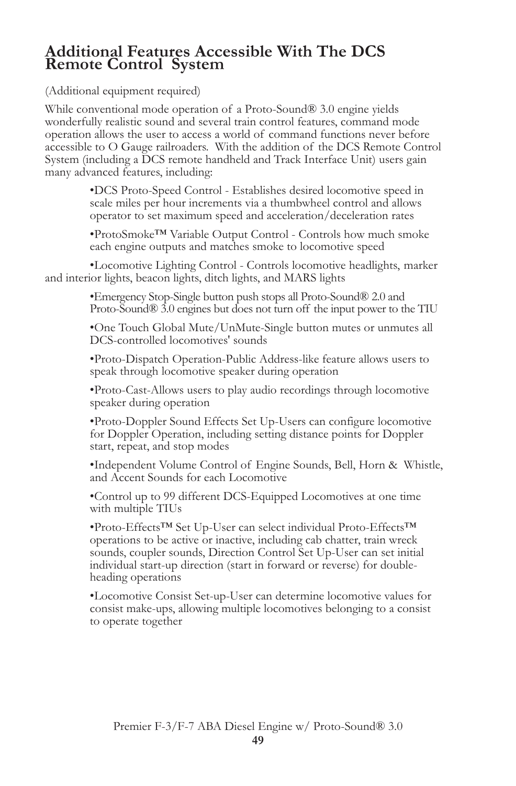### **Additional Features Accessible With The DCS Remote Control System**

(Additional equipment required)

While conventional mode operation of a Proto-Sound® 3.0 engine yields wonderfully realistic sound and several train control features, command mode operation allows the user to access a world of command functions never before accessible to O Gauge railroaders. With the addition of the DCS Remote Control System (including a DCS remote handheld and Track Interface Unit) users gain many advanced features, including:

> •DCS Proto-Speed Control - Establishes desired locomotive speed in scale miles per hour increments via a thumbwheel control and allows operator to set maximum speed and acceleration/deceleration rates

•ProtoSmoke™ Variable Output Control - Controls how much smoke each engine outputs and matches smoke to locomotive speed

•Locomotive Lighting Control - Controls locomotive headlights, marker and interior lights, beacon lights, ditch lights, and MARS lights

> •Emergency Stop-Single button push stops all Proto-Sound® 2.0 and Proto-Sound® 3.0 engines but does not turn off the input power to the TIU

•One Touch Global Mute/UnMute-Single button mutes or unmutes all DCS-controlled locomotives' sounds

•Proto-Dispatch Operation-Public Address-like feature allows users to speak through locomotive speaker during operation

•Proto-Cast-Allows users to play audio recordings through locomotive speaker during operation

•Proto-Doppler Sound Effects Set Up-Users can configure locomotive for Doppler Operation, including setting distance points for Doppler start, repeat, and stop modes

•Independent Volume Control of Engine Sounds, Bell, Horn & Whistle, and Accent Sounds for each Locomotive

•Control up to 99 different DCS-Equipped Locomotives at one time with multiple TIUs

•Proto-Effects™ Set Up-User can select individual Proto-Effects™ operations to be active or inactive, including cab chatter, train wreck sounds, coupler sounds, Direction Control Set Up-User can set initial individual start-up direction (start in forward or reverse) for doubleheading operations

•Locomotive Consist Set-up-User can determine locomotive values for consist make-ups, allowing multiple locomotives belonging to a consist to operate together